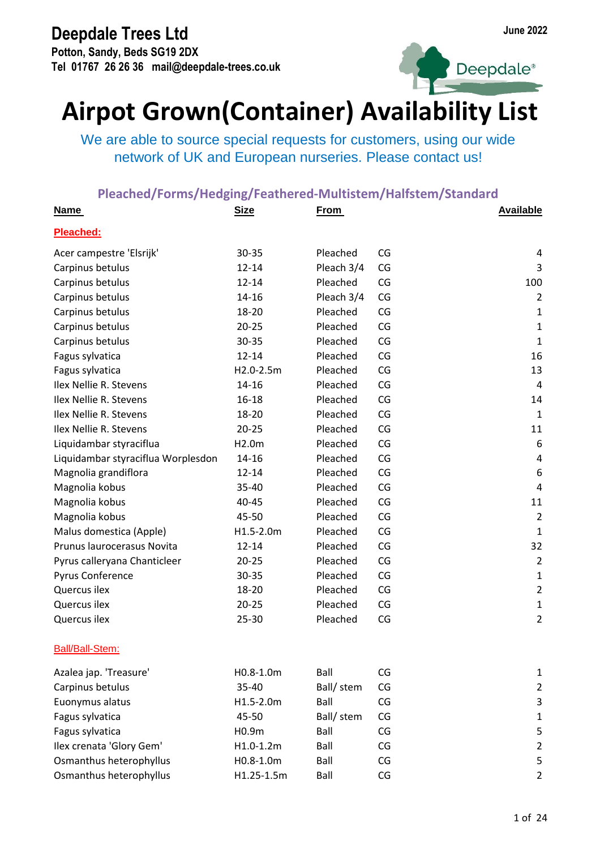**Potton, Sandy, Beds SG19 2DX Tel 01767 26 26 36 mail@deepdale-trees.co.uk**



# Deepdale<sup>®</sup>

## **Airpot Grown(Container) Availability List**

We are able to source special requests for customers, using our wide network of UK and European nurseries. Please contact us!

| <b>Name</b>                        | <b>Size</b> | <b>From</b> |    | <b>Available</b> |
|------------------------------------|-------------|-------------|----|------------------|
| Pleached:                          |             |             |    |                  |
| Acer campestre 'Elsrijk'           | 30-35       | Pleached    | CG | 4                |
| Carpinus betulus                   | $12 - 14$   | Pleach 3/4  | CG | 3                |
| Carpinus betulus                   | $12 - 14$   | Pleached    | CG | 100              |
| Carpinus betulus                   | 14-16       | Pleach 3/4  | CG | $\overline{2}$   |
| Carpinus betulus                   | 18-20       | Pleached    | CG | 1                |
| Carpinus betulus                   | $20 - 25$   | Pleached    | CG | $\mathbf 1$      |
| Carpinus betulus                   | 30-35       | Pleached    | CG | 1                |
| Fagus sylvatica                    | $12 - 14$   | Pleached    | CG | 16               |
| Fagus sylvatica                    | H2.0-2.5m   | Pleached    | CG | 13               |
| Ilex Nellie R. Stevens             | 14-16       | Pleached    | CG | $\overline{4}$   |
| Ilex Nellie R. Stevens             | 16-18       | Pleached    | CG | 14               |
| Ilex Nellie R. Stevens             | 18-20       | Pleached    | CG | $\mathbf{1}$     |
| Ilex Nellie R. Stevens             | $20 - 25$   | Pleached    | CG | 11               |
| Liquidambar styraciflua            | H2.0m       | Pleached    | CG | 6                |
| Liquidambar styraciflua Worplesdon | 14-16       | Pleached    | CG | $\pmb{4}$        |
| Magnolia grandiflora               | $12 - 14$   | Pleached    | CG | 6                |
| Magnolia kobus                     | 35-40       | Pleached    | CG | 4                |
| Magnolia kobus                     | 40-45       | Pleached    | CG | 11               |
| Magnolia kobus                     | 45-50       | Pleached    | CG | $\overline{2}$   |
| Malus domestica (Apple)            | H1.5-2.0m   | Pleached    | CG | ${\bf 1}$        |
| Prunus laurocerasus Novita         | $12 - 14$   | Pleached    | CG | 32               |
| Pyrus calleryana Chanticleer       | $20 - 25$   | Pleached    | CG | $\overline{2}$   |
| Pyrus Conference                   | 30-35       | Pleached    | CG | 1                |
| Quercus ilex                       | 18-20       | Pleached    | CG | $\overline{2}$   |
| Quercus ilex                       | $20 - 25$   | Pleached    | CG | $\mathbf 1$      |
| Quercus ilex                       | 25-30       | Pleached    | CG | 2                |
| Ball/Ball-Stem:                    |             |             |    |                  |
| Azalea jap. 'Treasure'             | H0.8-1.0m   | Ball        | CG | 1                |
| Carpinus betulus                   | 35-40       | Ball/ stem  | CG | $\overline{2}$   |
| Euonymus alatus                    | H1.5-2.0m   | Ball        | CG | 3                |
| Fagus sylvatica                    | 45-50       | Ball/ stem  | CG | $\mathbf{1}$     |
| Fagus sylvatica                    | H0.9m       | Ball        | CG | 5                |
| Ilex crenata 'Glory Gem'           | $H1.0-1.2m$ | Ball        | CG | $\overline{2}$   |
| Osmanthus heterophyllus            | H0.8-1.0m   | Ball        | CG | 5                |
| Osmanthus heterophyllus            | H1.25-1.5m  | Ball        | CG | $\overline{2}$   |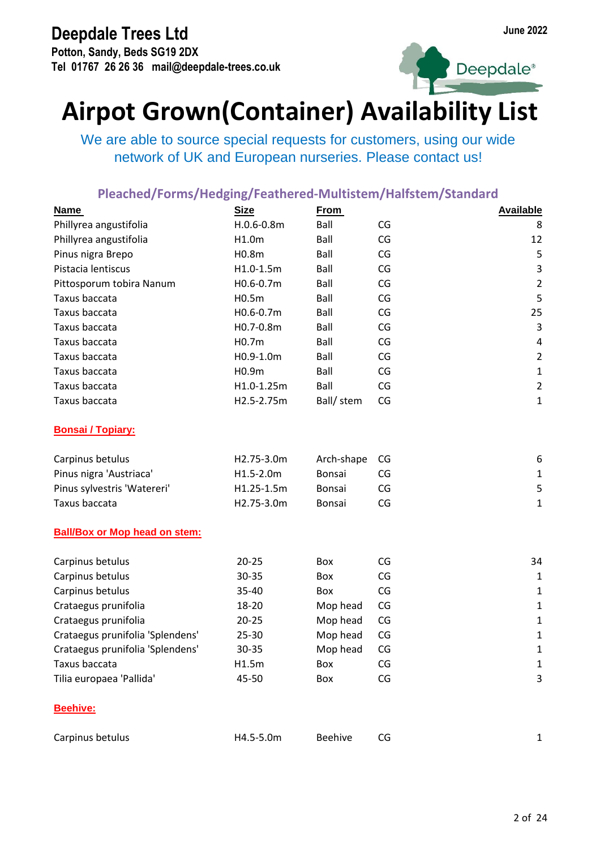**Potton, Sandy, Beds SG19 2DX Tel 01767 26 26 36 mail@deepdale-trees.co.uk**



Deepdale<sup>®</sup>

## **Airpot Grown(Container) Availability List**

We are able to source special requests for customers, using our wide network of UK and European nurseries. Please contact us!

| <b>Name</b>                          | <b>Size</b>    | <b>From</b>    |    | <b>Available</b> |
|--------------------------------------|----------------|----------------|----|------------------|
| Phillyrea angustifolia               | $H.0.6 - 0.8m$ | Ball           | CG | 8                |
| Phillyrea angustifolia               | H1.0m          | Ball           | CG | 12               |
| Pinus nigra Brepo                    | H0.8m          | Ball           | CG | 5                |
| Pistacia lentiscus                   | H1.0-1.5m      | Ball           | CG | 3                |
| Pittosporum tobira Nanum             | H0.6-0.7m      | Ball           | CG | $\overline{2}$   |
| Taxus baccata                        | H0.5m          | Ball           | CG | 5                |
| Taxus baccata                        | H0.6-0.7m      | Ball           | CG | 25               |
| Taxus baccata                        | H0.7-0.8m      | Ball           | CG | 3                |
| Taxus baccata                        | H0.7m          | Ball           | CG | 4                |
| Taxus baccata                        | H0.9-1.0m      | Ball           | CG | $\overline{2}$   |
| Taxus baccata                        | H0.9m          | Ball           | CG | $\mathbf{1}$     |
| Taxus baccata                        | H1.0-1.25m     | Ball           | CG | $\overline{2}$   |
| Taxus baccata                        | H2.5-2.75m     | Ball/ stem     | CG | 1                |
| <b>Bonsai / Topiary:</b>             |                |                |    |                  |
| Carpinus betulus                     | H2.75-3.0m     | Arch-shape     | CG | 6                |
| Pinus nigra 'Austriaca'              | H1.5-2.0m      | Bonsai         | CG | $\mathbf{1}$     |
| Pinus sylvestris 'Watereri'          | H1.25-1.5m     | Bonsai         | CG | 5                |
| Taxus baccata                        | H2.75-3.0m     | Bonsai         | CG | $\mathbf{1}$     |
| <b>Ball/Box or Mop head on stem:</b> |                |                |    |                  |
| Carpinus betulus                     | $20 - 25$      | Box            | CG | 34               |
| Carpinus betulus                     | 30-35          | Box            | CG | $\mathbf 1$      |
| Carpinus betulus                     | 35-40          | Box            | CG | $\mathbf 1$      |
| Crataegus prunifolia                 | 18-20          | Mop head       | CG | 1                |
| Crataegus prunifolia                 | $20 - 25$      | Mop head       | CG | $\mathbf{1}$     |
| Crataegus prunifolia 'Splendens'     | 25-30          | Mop head       | CG | 1                |
| Crataegus prunifolia 'Splendens'     | 30-35          | Mop head       | CG | 1                |
| Taxus baccata                        | H1.5m          | Box            | CG | 1                |
| Tilia europaea 'Pallida'             | 45-50          | Box            | CG | 3                |
| Beehive:                             |                |                |    |                  |
| Carpinus betulus                     | H4.5-5.0m      | <b>Beehive</b> | CG | 1                |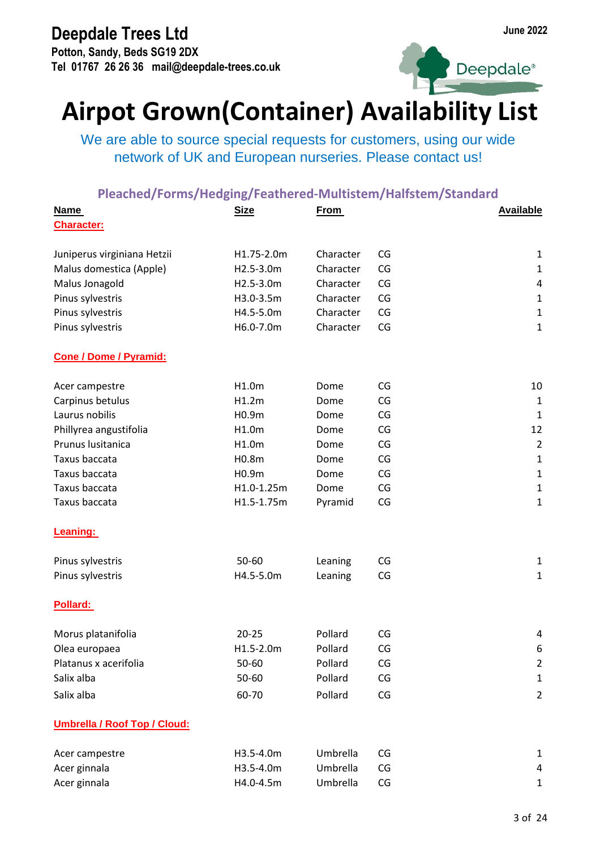**Potton, Sandy, Beds SG19 2DX Tel 01767 26 26 36 mail@deepdale-trees.co.uk**



Deepdale<sup>®</sup>

## **Airpot Grown(Container) Availability List**

We are able to source special requests for customers, using our wide network of UK and European nurseries. Please contact us!

| <b>Name</b>                         | <b>Size</b> | <b>From</b> |    | <b>Available</b> |
|-------------------------------------|-------------|-------------|----|------------------|
| <b>Character:</b>                   |             |             |    |                  |
| Juniperus virginiana Hetzii         | H1.75-2.0m  | Character   | CG | $\mathbf{1}$     |
| Malus domestica (Apple)             | H2.5-3.0m   | Character   | CG | $\mathbf{1}$     |
| Malus Jonagold                      | H2.5-3.0m   | Character   | CG | $\pmb{4}$        |
| Pinus sylvestris                    | H3.0-3.5m   | Character   | CG | $\mathbf{1}$     |
| Pinus sylvestris                    | H4.5-5.0m   | Character   | CG | $\mathbf{1}$     |
| Pinus sylvestris                    | H6.0-7.0m   | Character   | CG | $\mathbf{1}$     |
| <b>Cone / Dome / Pyramid:</b>       |             |             |    |                  |
| Acer campestre                      | H1.0m       | Dome        | CG | 10               |
| Carpinus betulus                    | H1.2m       | Dome        | CG | $\mathbf 1$      |
| Laurus nobilis                      | H0.9m       | Dome        | CG | $\mathbf{1}$     |
| Phillyrea angustifolia              | H1.0m       | Dome        | CG | 12               |
| Prunus lusitanica                   | H1.0m       | Dome        | CG | $\overline{2}$   |
| Taxus baccata                       | H0.8m       | Dome        | CG | $\mathbf{1}$     |
| Taxus baccata                       | H0.9m       | Dome        | CG | $\mathbf{1}$     |
| Taxus baccata                       | H1.0-1.25m  | Dome        | CG | $\mathbf 1$      |
| Taxus baccata                       | H1.5-1.75m  | Pyramid     | CG | $\mathbf{1}$     |
| Leaning:                            |             |             |    |                  |
| Pinus sylvestris                    | 50-60       | Leaning     | CG | 1                |
| Pinus sylvestris                    | H4.5-5.0m   | Leaning     | CG | $\mathbf{1}$     |
| Pollard:                            |             |             |    |                  |
| Morus platanifolia                  | $20 - 25$   | Pollard     | CG | 4                |
| Olea europaea                       | H1.5-2.0m   | Pollard     | CG | 6                |
| Platanus x acerifolia               | 50-60       | Pollard     | CG | $\overline{2}$   |
| Salix alba                          | 50-60       | Pollard     | CG | 1                |
| Salix alba                          | 60-70       | Pollard     | CG | $\overline{2}$   |
| <b>Umbrella / Roof Top / Cloud:</b> |             |             |    |                  |
| Acer campestre                      | H3.5-4.0m   | Umbrella    | CG | $\mathbf{1}$     |
| Acer ginnala                        | H3.5-4.0m   | Umbrella    | CG | 4                |
| Acer ginnala                        | H4.0-4.5m   | Umbrella    | CG | $\mathbf{1}$     |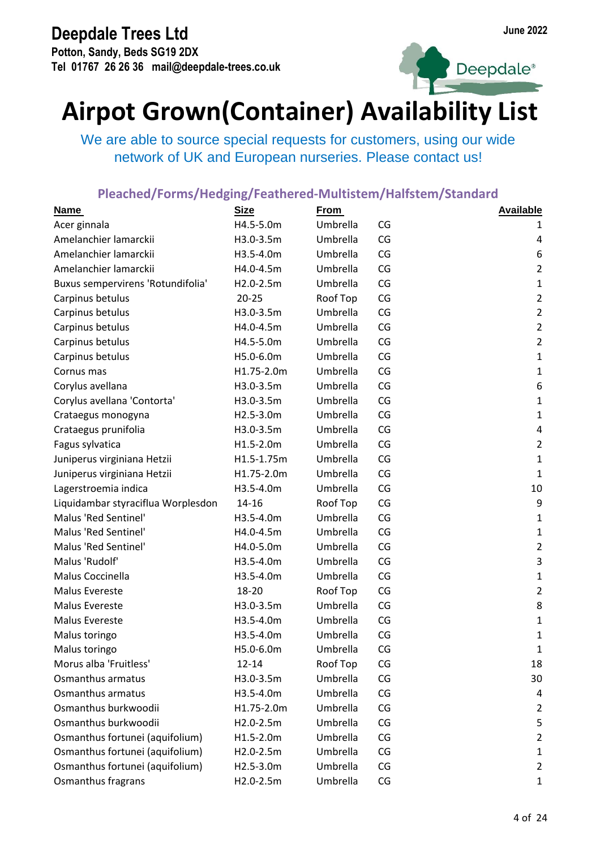**Potton, Sandy, Beds SG19 2DX Tel 01767 26 26 36 mail@deepdale-trees.co.uk**





## **Airpot Grown(Container) Availability List**

We are able to source special requests for customers, using our wide network of UK and European nurseries. Please contact us!

| <b>Name</b>                        | <b>Size</b> | <b>From</b> |    | <b>Available</b> |
|------------------------------------|-------------|-------------|----|------------------|
| Acer ginnala                       | H4.5-5.0m   | Umbrella    | CG | 1                |
| Amelanchier lamarckii              | H3.0-3.5m   | Umbrella    | CG | 4                |
| Amelanchier lamarckii              | H3.5-4.0m   | Umbrella    | CG | 6                |
| Amelanchier lamarckii              | H4.0-4.5m   | Umbrella    | CG | $\overline{2}$   |
| Buxus sempervirens 'Rotundifolia'  | H2.0-2.5m   | Umbrella    | CG | $\mathbf{1}$     |
| Carpinus betulus                   | $20 - 25$   | Roof Top    | CG | $\overline{2}$   |
| Carpinus betulus                   | H3.0-3.5m   | Umbrella    | CG | $\overline{2}$   |
| Carpinus betulus                   | H4.0-4.5m   | Umbrella    | CG | $\overline{2}$   |
| Carpinus betulus                   | H4.5-5.0m   | Umbrella    | CG | $\overline{2}$   |
| Carpinus betulus                   | H5.0-6.0m   | Umbrella    | CG | $\mathbf 1$      |
| Cornus mas                         | H1.75-2.0m  | Umbrella    | CG | $\mathbf 1$      |
| Corylus avellana                   | H3.0-3.5m   | Umbrella    | CG | 6                |
| Corylus avellana 'Contorta'        | H3.0-3.5m   | Umbrella    | CG | $\mathbf{1}$     |
| Crataegus monogyna                 | H2.5-3.0m   | Umbrella    | CG | $\mathbf{1}$     |
| Crataegus prunifolia               | H3.0-3.5m   | Umbrella    | CG | $\pmb{4}$        |
| Fagus sylvatica                    | H1.5-2.0m   | Umbrella    | CG | $\overline{2}$   |
| Juniperus virginiana Hetzii        | H1.5-1.75m  | Umbrella    | CG | $\mathbf{1}$     |
| Juniperus virginiana Hetzii        | H1.75-2.0m  | Umbrella    | CG | $\mathbf{1}$     |
| Lagerstroemia indica               | H3.5-4.0m   | Umbrella    | CG | 10               |
| Liquidambar styraciflua Worplesdon | 14-16       | Roof Top    | CG | 9                |
| Malus 'Red Sentinel'               | H3.5-4.0m   | Umbrella    | CG | $\mathbf{1}$     |
| Malus 'Red Sentinel'               | H4.0-4.5m   | Umbrella    | CG | $\mathbf{1}$     |
| Malus 'Red Sentinel'               | H4.0-5.0m   | Umbrella    | CG | $\overline{2}$   |
| Malus 'Rudolf'                     | H3.5-4.0m   | Umbrella    | CG | $\mathsf{3}$     |
| Malus Coccinella                   | H3.5-4.0m   | Umbrella    | CG | $\mathbf 1$      |
| Malus Evereste                     | 18-20       | Roof Top    | CG | $\overline{2}$   |
| Malus Evereste                     | H3.0-3.5m   | Umbrella    | CG | 8                |
| Malus Evereste                     | H3.5-4.0m   | Umbrella    | CG | $\mathbf{1}$     |
| Malus toringo                      | H3.5-4.0m   | Umbrella    | CG | $\mathbf 1$      |
| Malus toringo                      | H5.0-6.0m   | Umbrella    | CG | 1                |
| Morus alba 'Fruitless'             | $12 - 14$   | Roof Top    | CG | 18               |
| Osmanthus armatus                  | H3.0-3.5m   | Umbrella    | CG | 30               |
| Osmanthus armatus                  | H3.5-4.0m   | Umbrella    | CG | 4                |
| Osmanthus burkwoodii               | H1.75-2.0m  | Umbrella    | CG | $\overline{2}$   |
| Osmanthus burkwoodii               | H2.0-2.5m   | Umbrella    | CG | 5                |
| Osmanthus fortunei (aquifolium)    | H1.5-2.0m   | Umbrella    | CG | $\overline{2}$   |
| Osmanthus fortunei (aquifolium)    | H2.0-2.5m   | Umbrella    | CG | $\mathbf{1}$     |
| Osmanthus fortunei (aquifolium)    | H2.5-3.0m   | Umbrella    | CG | $\overline{2}$   |
| Osmanthus fragrans                 | H2.0-2.5m   | Umbrella    | CG | $\mathbf{1}$     |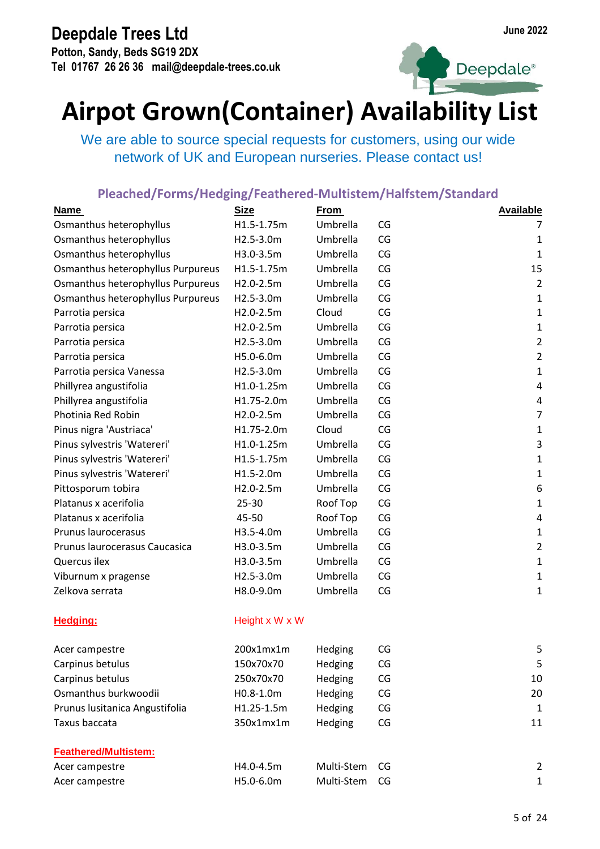**Potton, Sandy, Beds SG19 2DX Tel 01767 26 26 36 mail@deepdale-trees.co.uk**





## **Airpot Grown(Container) Availability List**

We are able to source special requests for customers, using our wide network of UK and European nurseries. Please contact us!

| <b>Name</b>                       | <b>Size</b>    | <b>From</b> |    | <b>Available</b> |
|-----------------------------------|----------------|-------------|----|------------------|
| Osmanthus heterophyllus           | H1.5-1.75m     | Umbrella    | CG | 7                |
| Osmanthus heterophyllus           | H2.5-3.0m      | Umbrella    | CG | $\mathbf 1$      |
| Osmanthus heterophyllus           | H3.0-3.5m      | Umbrella    | CG | $\mathbf{1}$     |
| Osmanthus heterophyllus Purpureus | H1.5-1.75m     | Umbrella    | CG | 15               |
| Osmanthus heterophyllus Purpureus | H2.0-2.5m      | Umbrella    | CG | $\overline{2}$   |
| Osmanthus heterophyllus Purpureus | H2.5-3.0m      | Umbrella    | CG | $\mathbf 1$      |
| Parrotia persica                  | H2.0-2.5m      | Cloud       | CG | $\mathbf 1$      |
| Parrotia persica                  | H2.0-2.5m      | Umbrella    | CG | $\mathbf 1$      |
| Parrotia persica                  | H2.5-3.0m      | Umbrella    | CG | $\overline{2}$   |
| Parrotia persica                  | H5.0-6.0m      | Umbrella    | CG | $\overline{2}$   |
| Parrotia persica Vanessa          | H2.5-3.0m      | Umbrella    | CG | $\mathbf 1$      |
| Phillyrea angustifolia            | H1.0-1.25m     | Umbrella    | CG | $\pmb{4}$        |
| Phillyrea angustifolia            | H1.75-2.0m     | Umbrella    | CG | $\pmb{4}$        |
| Photinia Red Robin                | H2.0-2.5m      | Umbrella    | CG | $\overline{7}$   |
| Pinus nigra 'Austriaca'           | H1.75-2.0m     | Cloud       | CG | $\mathbf 1$      |
| Pinus sylvestris 'Watereri'       | H1.0-1.25m     | Umbrella    | CG | $\mathbf{3}$     |
| Pinus sylvestris 'Watereri'       | H1.5-1.75m     | Umbrella    | CG | $\mathbf 1$      |
| Pinus sylvestris 'Watereri'       | H1.5-2.0m      | Umbrella    | CG | $\mathbf 1$      |
| Pittosporum tobira                | H2.0-2.5m      | Umbrella    | CG | $\boldsymbol{6}$ |
| Platanus x acerifolia             | 25-30          | Roof Top    | CG | $\mathbf 1$      |
| Platanus x acerifolia             | 45-50          | Roof Top    | CG | 4                |
| Prunus laurocerasus               | H3.5-4.0m      | Umbrella    | CG | $\mathbf 1$      |
| Prunus laurocerasus Caucasica     | H3.0-3.5m      | Umbrella    | CG | $\overline{2}$   |
| Quercus ilex                      | H3.0-3.5m      | Umbrella    | CG | $\mathbf 1$      |
| Viburnum x pragense               | H2.5-3.0m      | Umbrella    | CG | $\mathbf 1$      |
| Zelkova serrata                   | H8.0-9.0m      | Umbrella    | CG | $\mathbf{1}$     |
| <b>Hedging:</b>                   | Height x W x W |             |    |                  |
| Acer campestre                    | 200x1mx1m      | Hedging     | CG | 5                |
| Carpinus betulus                  | 150x70x70      | Hedging     | CG | 5                |
| Carpinus betulus                  | 250x70x70      | Hedging     | CG | 10               |
| Osmanthus burkwoodii              | H0.8-1.0m      | Hedging     | CG | 20               |
| Prunus lusitanica Angustifolia    | H1.25-1.5m     | Hedging     | CG | $\mathbf{1}$     |
| Taxus baccata                     | 350x1mx1m      | Hedging     | CG | 11               |
| <b>Feathered/Multistem:</b>       |                |             |    |                  |
| Acer campestre                    | H4.0-4.5m      | Multi-Stem  | CG | $\overline{2}$   |
| Acer campestre                    | H5.0-6.0m      | Multi-Stem  | CG | $\mathbf{1}$     |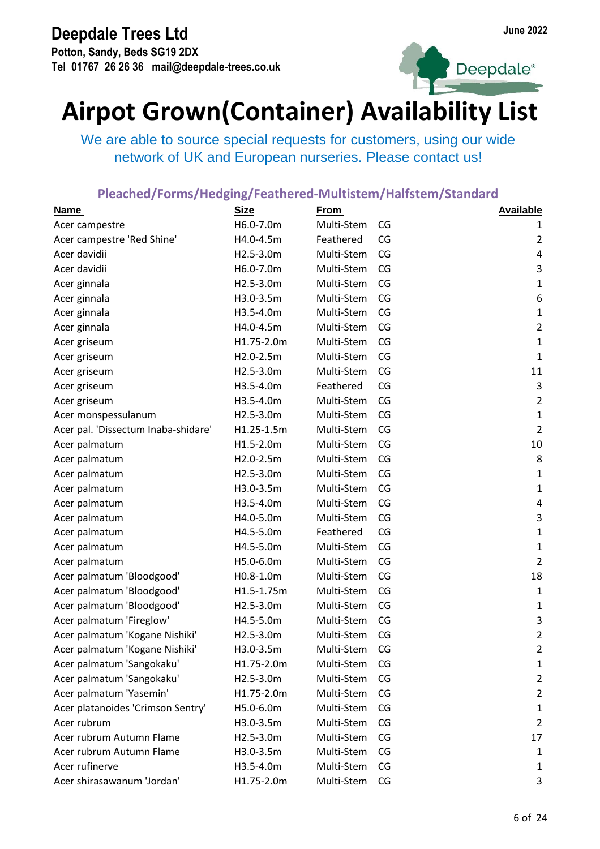**Potton, Sandy, Beds SG19 2DX Tel 01767 26 26 36 mail@deepdale-trees.co.uk**





## **Airpot Grown(Container) Availability List**

We are able to source special requests for customers, using our wide network of UK and European nurseries. Please contact us!

| <b>Name</b>                         | <b>Size</b> | <b>From</b> |    | <b>Available</b>          |
|-------------------------------------|-------------|-------------|----|---------------------------|
| Acer campestre                      | H6.0-7.0m   | Multi-Stem  | CG | 1                         |
| Acer campestre 'Red Shine'          | H4.0-4.5m   | Feathered   | CG | $\overline{2}$            |
| Acer davidii                        | H2.5-3.0m   | Multi-Stem  | CG | 4                         |
| Acer davidii                        | H6.0-7.0m   | Multi-Stem  | CG | $\mathsf 3$               |
| Acer ginnala                        | H2.5-3.0m   | Multi-Stem  | CG | $\mathbf{1}$              |
| Acer ginnala                        | H3.0-3.5m   | Multi-Stem  | CG | 6                         |
| Acer ginnala                        | H3.5-4.0m   | Multi-Stem  | CG | $\mathbf 1$               |
| Acer ginnala                        | H4.0-4.5m   | Multi-Stem  | CG | $\overline{2}$            |
| Acer griseum                        | H1.75-2.0m  | Multi-Stem  | CG | $\mathbf 1$               |
| Acer griseum                        | H2.0-2.5m   | Multi-Stem  | CG | $\mathbf 1$               |
| Acer griseum                        | H2.5-3.0m   | Multi-Stem  | CG | 11                        |
| Acer griseum                        | H3.5-4.0m   | Feathered   | CG | 3                         |
| Acer griseum                        | H3.5-4.0m   | Multi-Stem  | CG | $\overline{2}$            |
| Acer monspessulanum                 | H2.5-3.0m   | Multi-Stem  | CG | $\mathbf 1$               |
| Acer pal. 'Dissectum Inaba-shidare' | H1.25-1.5m  | Multi-Stem  | CG | $\overline{2}$            |
| Acer palmatum                       | H1.5-2.0m   | Multi-Stem  | CG | 10                        |
| Acer palmatum                       | H2.0-2.5m   | Multi-Stem  | CG | 8                         |
| Acer palmatum                       | H2.5-3.0m   | Multi-Stem  | CG | $\mathbf 1$               |
| Acer palmatum                       | H3.0-3.5m   | Multi-Stem  | CG | $\mathbf 1$               |
| Acer palmatum                       | H3.5-4.0m   | Multi-Stem  | CG | $\pmb{4}$                 |
| Acer palmatum                       | H4.0-5.0m   | Multi-Stem  | CG | $\mathsf{3}$              |
| Acer palmatum                       | H4.5-5.0m   | Feathered   | CG | $\mathbf{1}$              |
| Acer palmatum                       | H4.5-5.0m   | Multi-Stem  | CG | $\mathbf 1$               |
| Acer palmatum                       | H5.0-6.0m   | Multi-Stem  | CG | $\overline{2}$            |
| Acer palmatum 'Bloodgood'           | H0.8-1.0m   | Multi-Stem  | CG | 18                        |
| Acer palmatum 'Bloodgood'           | H1.5-1.75m  | Multi-Stem  | CG | $\mathbf 1$               |
| Acer palmatum 'Bloodgood'           | H2.5-3.0m   | Multi-Stem  | CG | $\mathbf{1}$              |
| Acer palmatum 'Fireglow'            | H4.5-5.0m   | Multi-Stem  | CG | $\ensuremath{\mathsf{3}}$ |
| Acer palmatum 'Kogane Nishiki'      | H2.5-3.0m   | Multi-Stem  | CG | $\overline{2}$            |
| Acer palmatum 'Kogane Nishiki'      | H3.0-3.5m   | Multi-Stem  | CG | 2                         |
| Acer palmatum 'Sangokaku'           | H1.75-2.0m  | Multi-Stem  | CG | $\mathbf{1}$              |
| Acer palmatum 'Sangokaku'           | H2.5-3.0m   | Multi-Stem  | CG | $\overline{2}$            |
| Acer palmatum 'Yasemin'             | H1.75-2.0m  | Multi-Stem  | CG | $\overline{2}$            |
| Acer platanoides 'Crimson Sentry'   | H5.0-6.0m   | Multi-Stem  | CG | $\mathbf{1}$              |
| Acer rubrum                         | H3.0-3.5m   | Multi-Stem  | CG | $\overline{2}$            |
| Acer rubrum Autumn Flame            | H2.5-3.0m   | Multi-Stem  | CG | 17                        |
| Acer rubrum Autumn Flame            | H3.0-3.5m   | Multi-Stem  | CG | $\mathbf{1}$              |
| Acer rufinerve                      | H3.5-4.0m   | Multi-Stem  | CG | $\mathbf{1}$              |
| Acer shirasawanum 'Jordan'          | H1.75-2.0m  | Multi-Stem  | CG | 3                         |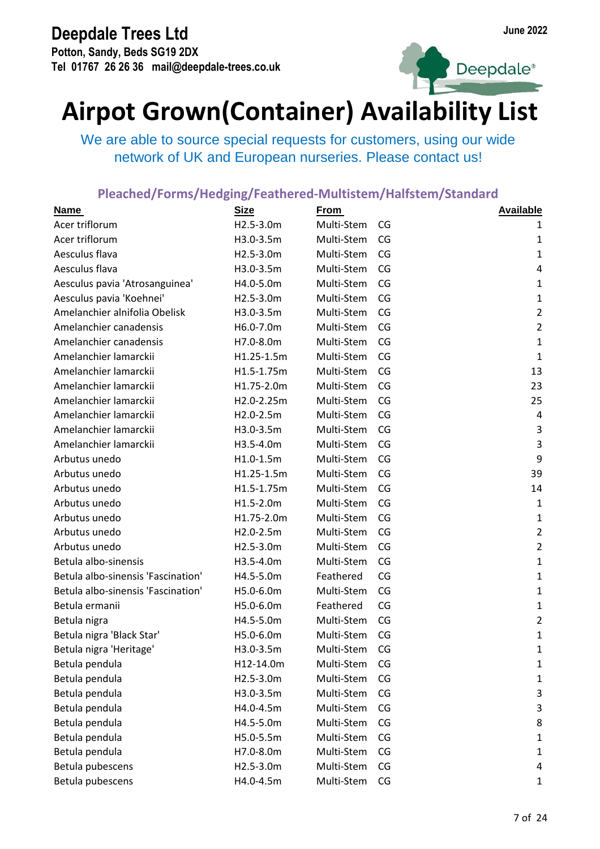**Potton, Sandy, Beds SG19 2DX Tel 01767 26 26 36 mail@deepdale-trees.co.uk**





## **Airpot Grown(Container) Availability List**

We are able to source special requests for customers, using our wide network of UK and European nurseries. Please contact us!

| <b>Name</b>                        | <b>Size</b> | <b>From</b> |    | <b>Available</b> |
|------------------------------------|-------------|-------------|----|------------------|
| Acer triflorum                     | H2.5-3.0m   | Multi-Stem  | CG | 1                |
| Acer triflorum                     | H3.0-3.5m   | Multi-Stem  | CG | $\mathbf{1}$     |
| Aesculus flava                     | H2.5-3.0m   | Multi-Stem  | CG | $\mathbf{1}$     |
| Aesculus flava                     | H3.0-3.5m   | Multi-Stem  | CG | $\overline{4}$   |
| Aesculus pavia 'Atrosanguinea'     | H4.0-5.0m   | Multi-Stem  | CG | $\mathbf{1}$     |
| Aesculus pavia 'Koehnei'           | H2.5-3.0m   | Multi-Stem  | CG | $\mathbf{1}$     |
| Amelanchier alnifolia Obelisk      | H3.0-3.5m   | Multi-Stem  | CG | $\overline{2}$   |
| Amelanchier canadensis             | H6.0-7.0m   | Multi-Stem  | CG | $\overline{2}$   |
| Amelanchier canadensis             | H7.0-8.0m   | Multi-Stem  | CG | $\mathbf{1}$     |
| Amelanchier lamarckii              | H1.25-1.5m  | Multi-Stem  | CG | $\mathbf{1}$     |
| Amelanchier lamarckii              | H1.5-1.75m  | Multi-Stem  | CG | 13               |
| Amelanchier lamarckii              | H1.75-2.0m  | Multi-Stem  | CG | 23               |
| Amelanchier lamarckii              | H2.0-2.25m  | Multi-Stem  | CG | 25               |
| Amelanchier lamarckii              | H2.0-2.5m   | Multi-Stem  | CG | 4                |
| Amelanchier lamarckii              | H3.0-3.5m   | Multi-Stem  | CG | $\mathbf{3}$     |
| Amelanchier lamarckii              | H3.5-4.0m   | Multi-Stem  | CG | $\mathbf{3}$     |
| Arbutus unedo                      | $H1.0-1.5m$ | Multi-Stem  | CG | 9                |
| Arbutus unedo                      | H1.25-1.5m  | Multi-Stem  | CG | 39               |
| Arbutus unedo                      | H1.5-1.75m  | Multi-Stem  | CG | 14               |
| Arbutus unedo                      | H1.5-2.0m   | Multi-Stem  | CG | $\mathbf{1}$     |
| Arbutus unedo                      | H1.75-2.0m  | Multi-Stem  | CG | $\mathbf{1}$     |
| Arbutus unedo                      | H2.0-2.5m   | Multi-Stem  | CG | $\overline{2}$   |
| Arbutus unedo                      | H2.5-3.0m   | Multi-Stem  | CG | $\overline{2}$   |
| Betula albo-sinensis               | H3.5-4.0m   | Multi-Stem  | CG | $\mathbf{1}$     |
| Betula albo-sinensis 'Fascination' | H4.5-5.0m   | Feathered   | CG | $\mathbf{1}$     |
| Betula albo-sinensis 'Fascination' | H5.0-6.0m   | Multi-Stem  | CG | $\mathbf{1}$     |
| Betula ermanii                     | H5.0-6.0m   | Feathered   | CG | $\mathbf{1}$     |
| Betula nigra                       | H4.5-5.0m   | Multi-Stem  | CG | $\overline{2}$   |
| Betula nigra 'Black Star'          | H5.0-6.0m   | Multi-Stem  | CG | $\mathbf{1}$     |
| Betula nigra 'Heritage'            | H3.0-3.5m   | Multi-Stem  | CG | 1                |
| Betula pendula                     | H12-14.0m   | Multi-Stem  | CG | $\mathbf{1}$     |
| Betula pendula                     | H2.5-3.0m   | Multi-Stem  | CG | $\mathbf{1}$     |
| Betula pendula                     | H3.0-3.5m   | Multi-Stem  | CG | 3                |
| Betula pendula                     | H4.0-4.5m   | Multi-Stem  | CG | 3                |
| Betula pendula                     | H4.5-5.0m   | Multi-Stem  | CG | 8                |
| Betula pendula                     | H5.0-5.5m   | Multi-Stem  | CG | $\mathbf{1}$     |
| Betula pendula                     | H7.0-8.0m   | Multi-Stem  | CG | $\mathbf{1}$     |
| Betula pubescens                   | H2.5-3.0m   | Multi-Stem  | CG | 4                |
| Betula pubescens                   | H4.0-4.5m   | Multi-Stem  | CG | 1                |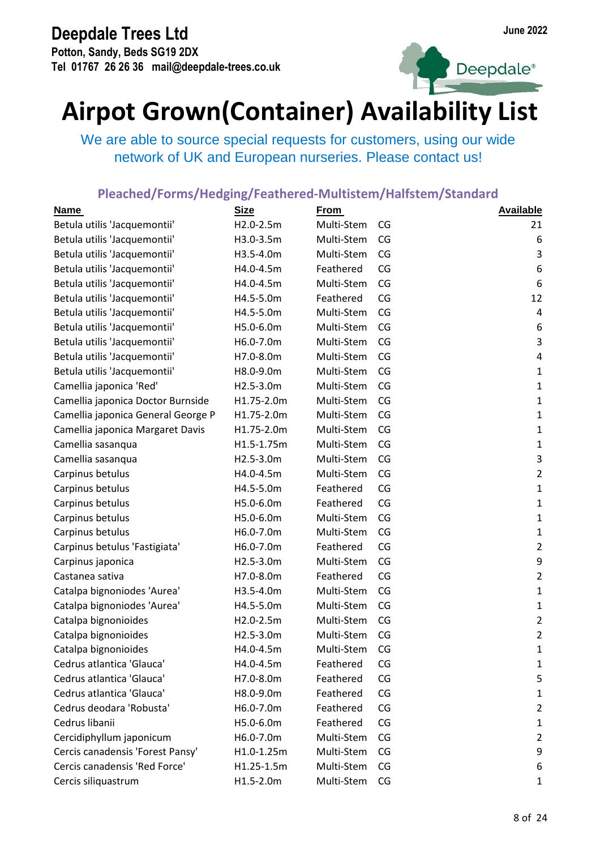**Potton, Sandy, Beds SG19 2DX Tel 01767 26 26 36 mail@deepdale-trees.co.uk**



Deepdale<sup>®</sup>

## **Airpot Grown(Container) Availability List**

We are able to source special requests for customers, using our wide network of UK and European nurseries. Please contact us!

| <b>Name</b>                        | <b>Size</b> | <b>From</b> |    | <b>Available</b> |
|------------------------------------|-------------|-------------|----|------------------|
| Betula utilis 'Jacquemontii'       | H2.0-2.5m   | Multi-Stem  | CG | 21               |
| Betula utilis 'Jacquemontii'       | H3.0-3.5m   | Multi-Stem  | CG | 6                |
| Betula utilis 'Jacquemontii'       | H3.5-4.0m   | Multi-Stem  | CG | $\mathsf{3}$     |
| Betula utilis 'Jacquemontii'       | H4.0-4.5m   | Feathered   | CG | 6                |
| Betula utilis 'Jacquemontii'       | H4.0-4.5m   | Multi-Stem  | CG | 6                |
| Betula utilis 'Jacquemontii'       | H4.5-5.0m   | Feathered   | CG | 12               |
| Betula utilis 'Jacquemontii'       | H4.5-5.0m   | Multi-Stem  | CG | 4                |
| Betula utilis 'Jacquemontii'       | H5.0-6.0m   | Multi-Stem  | CG | 6                |
| Betula utilis 'Jacquemontii'       | H6.0-7.0m   | Multi-Stem  | CG | $\mathsf 3$      |
| Betula utilis 'Jacquemontii'       | H7.0-8.0m   | Multi-Stem  | CG | 4                |
| Betula utilis 'Jacquemontii'       | H8.0-9.0m   | Multi-Stem  | CG | $\mathbf 1$      |
| Camellia japonica 'Red'            | H2.5-3.0m   | Multi-Stem  | CG | $\mathbf 1$      |
| Camellia japonica Doctor Burnside  | H1.75-2.0m  | Multi-Stem  | CG | $\mathbf 1$      |
| Camellia japonica General George P | H1.75-2.0m  | Multi-Stem  | CG | $\mathbf 1$      |
| Camellia japonica Margaret Davis   | H1.75-2.0m  | Multi-Stem  | CG | $\mathbf 1$      |
| Camellia sasanqua                  | H1.5-1.75m  | Multi-Stem  | CG | $\mathbf 1$      |
| Camellia sasanqua                  | H2.5-3.0m   | Multi-Stem  | CG | $\mathsf 3$      |
| Carpinus betulus                   | H4.0-4.5m   | Multi-Stem  | CG | $\overline{2}$   |
| Carpinus betulus                   | H4.5-5.0m   | Feathered   | CG | $\mathbf 1$      |
| Carpinus betulus                   | H5.0-6.0m   | Feathered   | CG | $\mathbf 1$      |
| Carpinus betulus                   | H5.0-6.0m   | Multi-Stem  | CG | $\mathbf 1$      |
| Carpinus betulus                   | H6.0-7.0m   | Multi-Stem  | CG | $\mathbf 1$      |
| Carpinus betulus 'Fastigiata'      | H6.0-7.0m   | Feathered   | CG | $\overline{2}$   |
| Carpinus japonica                  | H2.5-3.0m   | Multi-Stem  | CG | 9                |
| Castanea sativa                    | H7.0-8.0m   | Feathered   | CG | $\mathbf 2$      |
| Catalpa bignoniodes 'Aurea'        | H3.5-4.0m   | Multi-Stem  | CG | $\mathbf 1$      |
| Catalpa bignoniodes 'Aurea'        | H4.5-5.0m   | Multi-Stem  | CG | $\mathbf{1}$     |
| Catalpa bignonioides               | H2.0-2.5m   | Multi-Stem  | CG | $\mathbf 2$      |
| Catalpa bignonioides               | H2.5-3.0m   | Multi-Stem  | CG | $\overline{2}$   |
| Catalpa bignonioides               | H4.0-4.5m   | Multi-Stem  | CG | 1                |
| Cedrus atlantica 'Glauca'          | H4.0-4.5m   | Feathered   | CG | 1                |
| Cedrus atlantica 'Glauca'          | H7.0-8.0m   | Feathered   | CG | 5                |
| Cedrus atlantica 'Glauca'          | H8.0-9.0m   | Feathered   | CG | $\mathbf{1}$     |
| Cedrus deodara 'Robusta'           | H6.0-7.0m   | Feathered   | CG | $\overline{2}$   |
| Cedrus libanii                     | H5.0-6.0m   | Feathered   | CG | $\mathbf{1}$     |
| Cercidiphyllum japonicum           | H6.0-7.0m   | Multi-Stem  | CG | $\overline{2}$   |
| Cercis canadensis 'Forest Pansy'   | H1.0-1.25m  | Multi-Stem  | CG | 9                |
| Cercis canadensis 'Red Force'      | H1.25-1.5m  | Multi-Stem  | CG | 6                |
| Cercis siliquastrum                | H1.5-2.0m   | Multi-Stem  | CG | 1                |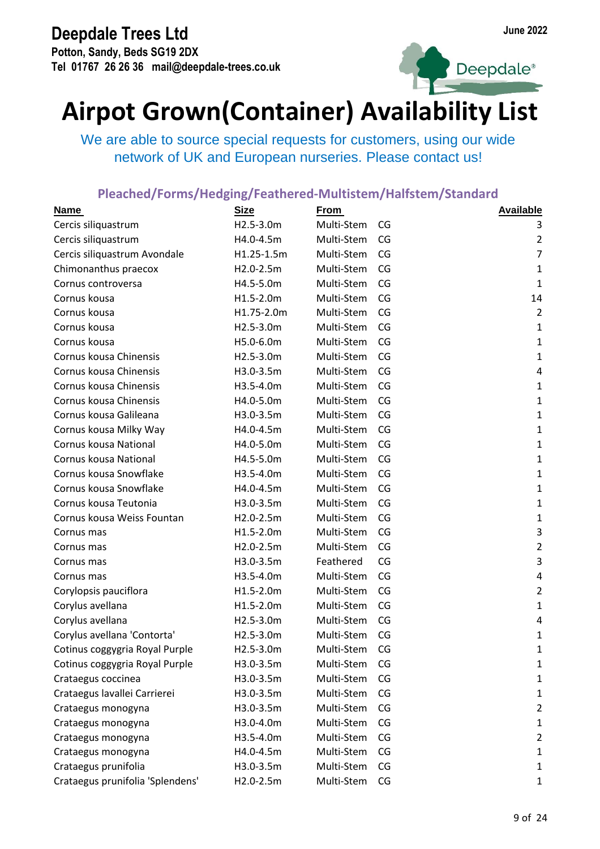**Potton, Sandy, Beds SG19 2DX Tel 01767 26 26 36 mail@deepdale-trees.co.uk**





## **Airpot Grown(Container) Availability List**

We are able to source special requests for customers, using our wide network of UK and European nurseries. Please contact us!

| <b>Name</b>                      | <b>Size</b> | <b>From</b> |    | <b>Available</b> |
|----------------------------------|-------------|-------------|----|------------------|
| Cercis siliquastrum              | H2.5-3.0m   | Multi-Stem  | CG | 3                |
| Cercis siliquastrum              | H4.0-4.5m   | Multi-Stem  | CG | $\overline{2}$   |
| Cercis siliquastrum Avondale     | H1.25-1.5m  | Multi-Stem  | CG | $\overline{7}$   |
| Chimonanthus praecox             | H2.0-2.5m   | Multi-Stem  | CG | $\mathbf{1}$     |
| Cornus controversa               | H4.5-5.0m   | Multi-Stem  | CG | $\mathbf{1}$     |
| Cornus kousa                     | H1.5-2.0m   | Multi-Stem  | CG | 14               |
| Cornus kousa                     | H1.75-2.0m  | Multi-Stem  | CG | $\overline{2}$   |
| Cornus kousa                     | H2.5-3.0m   | Multi-Stem  | CG | $\mathbf 1$      |
| Cornus kousa                     | H5.0-6.0m   | Multi-Stem  | CG | $\mathbf 1$      |
| Cornus kousa Chinensis           | H2.5-3.0m   | Multi-Stem  | CG | $\mathbf 1$      |
| Cornus kousa Chinensis           | H3.0-3.5m   | Multi-Stem  | CG | $\pmb{4}$        |
| Cornus kousa Chinensis           | H3.5-4.0m   | Multi-Stem  | CG | $\mathbf 1$      |
| Cornus kousa Chinensis           | H4.0-5.0m   | Multi-Stem  | CG | $\mathbf 1$      |
| Cornus kousa Galileana           | H3.0-3.5m   | Multi-Stem  | CG | $\mathbf 1$      |
| Cornus kousa Milky Way           | H4.0-4.5m   | Multi-Stem  | CG | $\mathbf 1$      |
| Cornus kousa National            | H4.0-5.0m   | Multi-Stem  | CG | $\mathbf 1$      |
| Cornus kousa National            | H4.5-5.0m   | Multi-Stem  | CG | $\mathbf{1}$     |
| Cornus kousa Snowflake           | H3.5-4.0m   | Multi-Stem  | CG | $\mathbf 1$      |
| Cornus kousa Snowflake           | H4.0-4.5m   | Multi-Stem  | CG | $\mathbf 1$      |
| Cornus kousa Teutonia            | H3.0-3.5m   | Multi-Stem  | CG | $\mathbf 1$      |
| Cornus kousa Weiss Fountan       | H2.0-2.5m   | Multi-Stem  | CG | $\mathbf 1$      |
| Cornus mas                       | H1.5-2.0m   | Multi-Stem  | CG | $\mathbf{3}$     |
| Cornus mas                       | H2.0-2.5m   | Multi-Stem  | CG | $\overline{2}$   |
| Cornus mas                       | H3.0-3.5m   | Feathered   | CG | $\mathbf{3}$     |
| Cornus mas                       | H3.5-4.0m   | Multi-Stem  | CG | $\pmb{4}$        |
| Corylopsis pauciflora            | H1.5-2.0m   | Multi-Stem  | CG | $\overline{2}$   |
| Corylus avellana                 | H1.5-2.0m   | Multi-Stem  | CG | $\mathbf 1$      |
| Corylus avellana                 | H2.5-3.0m   | Multi-Stem  | CG | $\pmb{4}$        |
| Corylus avellana 'Contorta'      | H2.5-3.0m   | Multi-Stem  | CG | $\mathbf{1}$     |
| Cotinus coggygria Royal Purple   | H2.5-3.0m   | Multi-Stem  | CG | 1                |
| Cotinus coggygria Royal Purple   | H3.0-3.5m   | Multi-Stem  | CG | $\mathbf{1}$     |
| Crataegus coccinea               | H3.0-3.5m   | Multi-Stem  | CG | $\mathbf{1}$     |
| Crataegus lavallei Carrierei     | H3.0-3.5m   | Multi-Stem  | CG | $\mathbf{1}$     |
| Crataegus monogyna               | H3.0-3.5m   | Multi-Stem  | CG | $\overline{2}$   |
| Crataegus monogyna               | H3.0-4.0m   | Multi-Stem  | CG | $\mathbf{1}$     |
| Crataegus monogyna               | H3.5-4.0m   | Multi-Stem  | CG | $\overline{2}$   |
| Crataegus monogyna               | H4.0-4.5m   | Multi-Stem  | CG | $\mathbf{1}$     |
| Crataegus prunifolia             | H3.0-3.5m   | Multi-Stem  | CG | $\mathbf{1}$     |
| Crataegus prunifolia 'Splendens' | H2.0-2.5m   | Multi-Stem  | CG | 1                |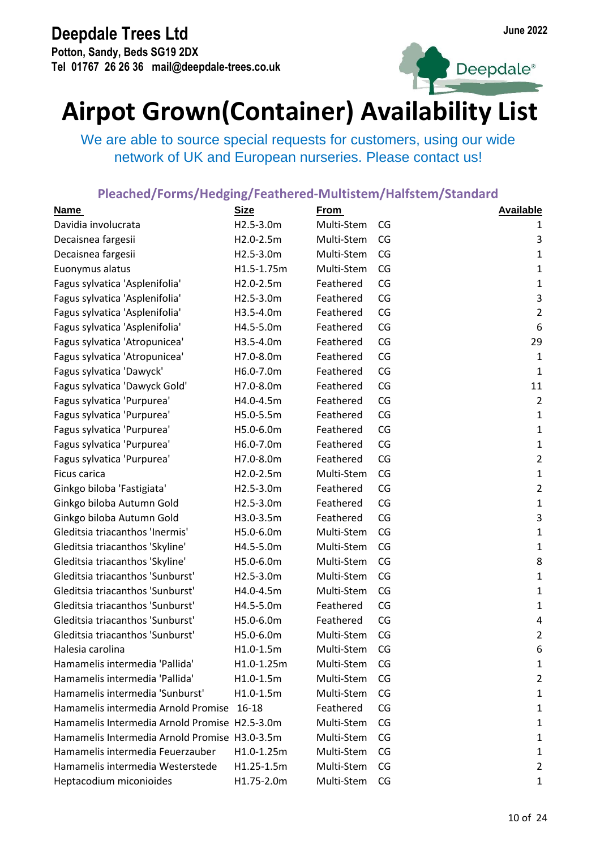**Potton, Sandy, Beds SG19 2DX Tel 01767 26 26 36 mail@deepdale-trees.co.uk**





## **Airpot Grown(Container) Availability List**

We are able to source special requests for customers, using our wide network of UK and European nurseries. Please contact us!

| <b>Name</b>                                   | <b>Size</b> | <b>From</b> |    | <b>Available</b> |
|-----------------------------------------------|-------------|-------------|----|------------------|
| Davidia involucrata                           | H2.5-3.0m   | Multi-Stem  | CG | 1                |
| Decaisnea fargesii                            | H2.0-2.5m   | Multi-Stem  | CG | 3                |
| Decaisnea fargesii                            | H2.5-3.0m   | Multi-Stem  | CG | $\mathbf{1}$     |
| Euonymus alatus                               | H1.5-1.75m  | Multi-Stem  | CG | $\mathbf 1$      |
| Fagus sylvatica 'Asplenifolia'                | H2.0-2.5m   | Feathered   | CG | $\mathbf 1$      |
| Fagus sylvatica 'Asplenifolia'                | H2.5-3.0m   | Feathered   | CG | $\mathbf{3}$     |
| Fagus sylvatica 'Asplenifolia'                | H3.5-4.0m   | Feathered   | CG | $\overline{2}$   |
| Fagus sylvatica 'Asplenifolia'                | H4.5-5.0m   | Feathered   | CG | 6                |
| Fagus sylvatica 'Atropunicea'                 | H3.5-4.0m   | Feathered   | CG | 29               |
| Fagus sylvatica 'Atropunicea'                 | H7.0-8.0m   | Feathered   | CG | $\mathbf 1$      |
| Fagus sylvatica 'Dawyck'                      | H6.0-7.0m   | Feathered   | CG | $\mathbf 1$      |
| Fagus sylvatica 'Dawyck Gold'                 | H7.0-8.0m   | Feathered   | CG | 11               |
| Fagus sylvatica 'Purpurea'                    | H4.0-4.5m   | Feathered   | CG | $\overline{2}$   |
| Fagus sylvatica 'Purpurea'                    | H5.0-5.5m   | Feathered   | CG | $\mathbf 1$      |
| Fagus sylvatica 'Purpurea'                    | H5.0-6.0m   | Feathered   | CG | $\mathbf 1$      |
| Fagus sylvatica 'Purpurea'                    | H6.0-7.0m   | Feathered   | CG | $\mathbf 1$      |
| Fagus sylvatica 'Purpurea'                    | H7.0-8.0m   | Feathered   | CG | $\overline{2}$   |
| Ficus carica                                  | H2.0-2.5m   | Multi-Stem  | CG | $\mathbf 1$      |
| Ginkgo biloba 'Fastigiata'                    | H2.5-3.0m   | Feathered   | CG | $\mathbf 2$      |
| Ginkgo biloba Autumn Gold                     | H2.5-3.0m   | Feathered   | CG | $\mathbf 1$      |
| Ginkgo biloba Autumn Gold                     | H3.0-3.5m   | Feathered   | CG | $\mathsf{3}$     |
| Gleditsia triacanthos 'Inermis'               | H5.0-6.0m   | Multi-Stem  | CG | $\mathbf 1$      |
| Gleditsia triacanthos 'Skyline'               | H4.5-5.0m   | Multi-Stem  | CG | $\mathbf 1$      |
| Gleditsia triacanthos 'Skyline'               | H5.0-6.0m   | Multi-Stem  | CG | 8                |
| Gleditsia triacanthos 'Sunburst'              | H2.5-3.0m   | Multi-Stem  | CG | $\mathbf 1$      |
| Gleditsia triacanthos 'Sunburst'              | H4.0-4.5m   | Multi-Stem  | CG | 1                |
| Gleditsia triacanthos 'Sunburst'              | H4.5-5.0m   | Feathered   | CG | $\mathbf 1$      |
| Gleditsia triacanthos 'Sunburst'              | H5.0-6.0m   | Feathered   | CG | $\pmb{4}$        |
| Gleditsia triacanthos 'Sunburst'              | H5.0-6.0m   | Multi-Stem  | CG | $\overline{2}$   |
| Halesia carolina                              | H1.0-1.5m   | Multi-Stem  | CG | 6                |
| Hamamelis intermedia 'Pallida'                | H1.0-1.25m  | Multi-Stem  | CG | 1                |
| Hamamelis intermedia 'Pallida'                | H1.0-1.5m   | Multi-Stem  | CG | 2                |
| Hamamelis intermedia 'Sunburst'               | $H1.0-1.5m$ | Multi-Stem  | CG | $\mathbf{1}$     |
| Hamamelis intermedia Arnold Promise 16-18     |             | Feathered   | CG | $\mathbf{1}$     |
| Hamamelis Intermedia Arnold Promise H2.5-3.0m |             | Multi-Stem  | CG | $\mathbf{1}$     |
| Hamamelis Intermedia Arnold Promise H3.0-3.5m |             | Multi-Stem  | CG | $\mathbf{1}$     |
| Hamamelis intermedia Feuerzauber              | H1.0-1.25m  | Multi-Stem  | CG | $\mathbf{1}$     |
| Hamamelis intermedia Westerstede              | H1.25-1.5m  | Multi-Stem  | CG | 2                |
| Heptacodium miconioides                       | H1.75-2.0m  | Multi-Stem  | CG | $\mathbf{1}$     |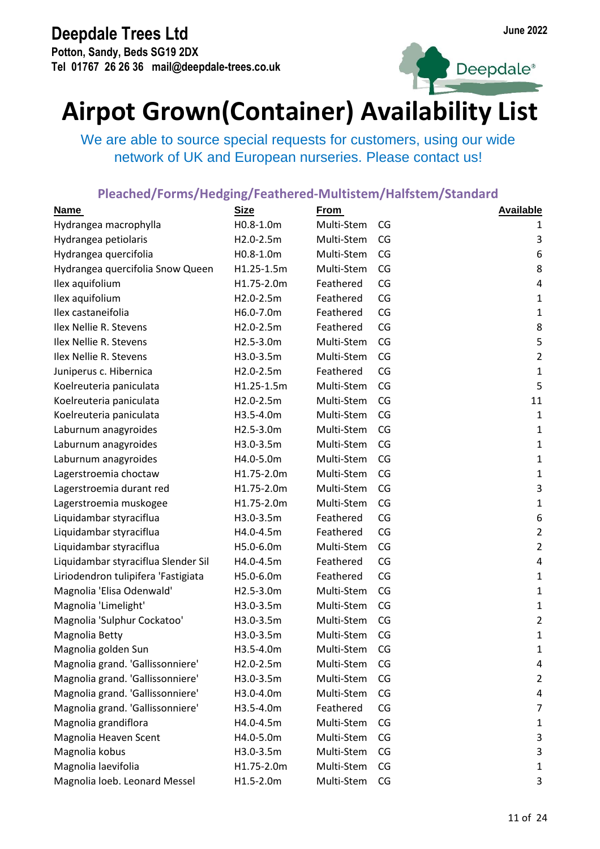**Potton, Sandy, Beds SG19 2DX Tel 01767 26 26 36 mail@deepdale-trees.co.uk**



Deepdale<sup>®</sup>

## **Airpot Grown(Container) Availability List**

We are able to source special requests for customers, using our wide network of UK and European nurseries. Please contact us!

| <b>Name</b>                         | <b>Size</b> | <b>From</b> |    | <b>Available</b> |
|-------------------------------------|-------------|-------------|----|------------------|
| Hydrangea macrophylla               | H0.8-1.0m   | Multi-Stem  | CG | 1                |
| Hydrangea petiolaris                | H2.0-2.5m   | Multi-Stem  | CG | 3                |
| Hydrangea quercifolia               | H0.8-1.0m   | Multi-Stem  | CG | 6                |
| Hydrangea quercifolia Snow Queen    | H1.25-1.5m  | Multi-Stem  | CG | 8                |
| Ilex aquifolium                     | H1.75-2.0m  | Feathered   | CG | $\pmb{4}$        |
| Ilex aquifolium                     | H2.0-2.5m   | Feathered   | CG | $\mathbf 1$      |
| Ilex castaneifolia                  | H6.0-7.0m   | Feathered   | CG | $\mathbf 1$      |
| Ilex Nellie R. Stevens              | H2.0-2.5m   | Feathered   | CG | 8                |
| Ilex Nellie R. Stevens              | H2.5-3.0m   | Multi-Stem  | CG | 5                |
| Ilex Nellie R. Stevens              | H3.0-3.5m   | Multi-Stem  | CG | $\mathbf 2$      |
| Juniperus c. Hibernica              | H2.0-2.5m   | Feathered   | CG | $\mathbf 1$      |
| Koelreuteria paniculata             | H1.25-1.5m  | Multi-Stem  | CG | 5                |
| Koelreuteria paniculata             | H2.0-2.5m   | Multi-Stem  | CG | 11               |
| Koelreuteria paniculata             | H3.5-4.0m   | Multi-Stem  | CG | $\mathbf{1}$     |
| Laburnum anagyroides                | H2.5-3.0m   | Multi-Stem  | CG | $\mathbf 1$      |
| Laburnum anagyroides                | H3.0-3.5m   | Multi-Stem  | CG | $\mathbf 1$      |
| Laburnum anagyroides                | H4.0-5.0m   | Multi-Stem  | CG | $\mathbf{1}$     |
| Lagerstroemia choctaw               | H1.75-2.0m  | Multi-Stem  | CG | $\mathbf{1}$     |
| Lagerstroemia durant red            | H1.75-2.0m  | Multi-Stem  | CG | 3                |
| Lagerstroemia muskogee              | H1.75-2.0m  | Multi-Stem  | CG | $\mathbf 1$      |
| Liquidambar styraciflua             | H3.0-3.5m   | Feathered   | CG | 6                |
| Liquidambar styraciflua             | H4.0-4.5m   | Feathered   | CG | $\overline{2}$   |
| Liquidambar styraciflua             | H5.0-6.0m   | Multi-Stem  | CG | $\overline{2}$   |
| Liquidambar styraciflua Slender Sil | H4.0-4.5m   | Feathered   | CG | $\pmb{4}$        |
| Liriodendron tulipifera 'Fastigiata | H5.0-6.0m   | Feathered   | CG | $\mathbf 1$      |
| Magnolia 'Elisa Odenwald'           | H2.5-3.0m   | Multi-Stem  | CG | $\mathbf 1$      |
| Magnolia 'Limelight'                | H3.0-3.5m   | Multi-Stem  | CG | $\mathbf{1}$     |
| Magnolia 'Sulphur Cockatoo'         | H3.0-3.5m   | Multi-Stem  | CG | $\overline{2}$   |
| Magnolia Betty                      | H3.0-3.5m   | Multi-Stem  | CG | $\mathbf 1$      |
| Magnolia golden Sun                 | H3.5-4.0m   | Multi-Stem  | CG | 1                |
| Magnolia grand. 'Gallissonniere'    | H2.0-2.5m   | Multi-Stem  | CG | 4                |
| Magnolia grand. 'Gallissonniere'    | H3.0-3.5m   | Multi-Stem  | CG | 2                |
| Magnolia grand. 'Gallissonniere'    | H3.0-4.0m   | Multi-Stem  | CG | 4                |
| Magnolia grand. 'Gallissonniere'    | H3.5-4.0m   | Feathered   | CG | 7                |
| Magnolia grandiflora                | H4.0-4.5m   | Multi-Stem  | CG | $\mathbf{1}$     |
| Magnolia Heaven Scent               | H4.0-5.0m   | Multi-Stem  | CG | 3                |
| Magnolia kobus                      | H3.0-3.5m   | Multi-Stem  | CG | 3                |
| Magnolia laevifolia                 | H1.75-2.0m  | Multi-Stem  | CG | $\mathbf{1}$     |
| Magnolia loeb. Leonard Messel       | H1.5-2.0m   | Multi-Stem  | CG | 3                |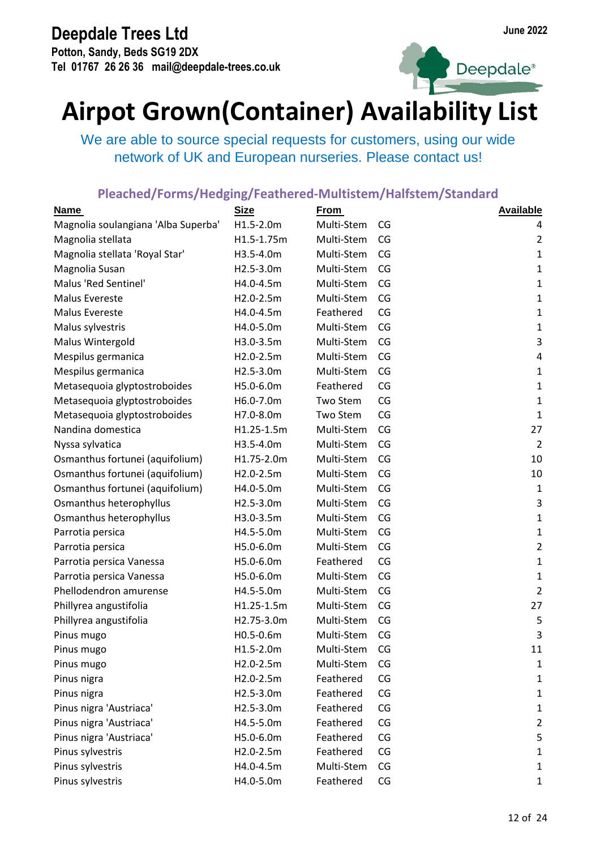**Potton, Sandy, Beds SG19 2DX Tel 01767 26 26 36 mail@deepdale-trees.co.uk**



Deepdale<sup>®</sup>

## **Airpot Grown(Container) Availability List**

We are able to source special requests for customers, using our wide network of UK and European nurseries. Please contact us!

| <b>Name</b>                         | <b>Size</b> | <b>From</b> |    | <b>Available</b> |
|-------------------------------------|-------------|-------------|----|------------------|
| Magnolia soulangiana 'Alba Superba' | H1.5-2.0m   | Multi-Stem  | CG | 4                |
| Magnolia stellata                   | H1.5-1.75m  | Multi-Stem  | CG | $\overline{2}$   |
| Magnolia stellata 'Royal Star'      | H3.5-4.0m   | Multi-Stem  | CG | $\mathbf 1$      |
| Magnolia Susan                      | H2.5-3.0m   | Multi-Stem  | CG | $\mathbf 1$      |
| Malus 'Red Sentinel'                | H4.0-4.5m   | Multi-Stem  | CG | $\mathbf 1$      |
| Malus Evereste                      | H2.0-2.5m   | Multi-Stem  | CG | $\mathbf 1$      |
| Malus Evereste                      | H4.0-4.5m   | Feathered   | CG | $\mathbf 1$      |
| Malus sylvestris                    | H4.0-5.0m   | Multi-Stem  | CG | $\mathbf 1$      |
| Malus Wintergold                    | H3.0-3.5m   | Multi-Stem  | CG | $\mathsf 3$      |
| Mespilus germanica                  | H2.0-2.5m   | Multi-Stem  | CG | $\pmb{4}$        |
| Mespilus germanica                  | H2.5-3.0m   | Multi-Stem  | CG | $\mathbf 1$      |
| Metasequoia glyptostroboides        | H5.0-6.0m   | Feathered   | CG | $\mathbf{1}$     |
| Metasequoia glyptostroboides        | H6.0-7.0m   | Two Stem    | CG | $\mathbf{1}$     |
| Metasequoia glyptostroboides        | H7.0-8.0m   | Two Stem    | CG | $\mathbf 1$      |
| Nandina domestica                   | H1.25-1.5m  | Multi-Stem  | CG | 27               |
| Nyssa sylvatica                     | H3.5-4.0m   | Multi-Stem  | CG | $\overline{2}$   |
| Osmanthus fortunei (aquifolium)     | H1.75-2.0m  | Multi-Stem  | CG | 10               |
| Osmanthus fortunei (aquifolium)     | H2.0-2.5m   | Multi-Stem  | CG | 10               |
| Osmanthus fortunei (aquifolium)     | H4.0-5.0m   | Multi-Stem  | CG | $\mathbf 1$      |
| Osmanthus heterophyllus             | H2.5-3.0m   | Multi-Stem  | CG | $\mathsf 3$      |
| Osmanthus heterophyllus             | H3.0-3.5m   | Multi-Stem  | CG | $\mathbf 1$      |
| Parrotia persica                    | H4.5-5.0m   | Multi-Stem  | CG | $\mathbf 1$      |
| Parrotia persica                    | H5.0-6.0m   | Multi-Stem  | CG | $\overline{2}$   |
| Parrotia persica Vanessa            | H5.0-6.0m   | Feathered   | CG | $\mathbf{1}$     |
| Parrotia persica Vanessa            | H5.0-6.0m   | Multi-Stem  | CG | $\mathbf 1$      |
| Phellodendron amurense              | H4.5-5.0m   | Multi-Stem  | CG | $\overline{2}$   |
| Phillyrea angustifolia              | H1.25-1.5m  | Multi-Stem  | CG | 27               |
| Phillyrea angustifolia              | H2.75-3.0m  | Multi-Stem  | CG | 5                |
| Pinus mugo                          | H0.5-0.6m   | Multi-Stem  | CG | 3                |
| Pinus mugo                          | H1.5-2.0m   | Multi-Stem  | CG | 11               |
| Pinus mugo                          | H2.0-2.5m   | Multi-Stem  | CG | $\mathbf{1}$     |
| Pinus nigra                         | H2.0-2.5m   | Feathered   | CG | $\mathbf{1}$     |
| Pinus nigra                         | H2.5-3.0m   | Feathered   | CG | $\mathbf{1}$     |
| Pinus nigra 'Austriaca'             | H2.5-3.0m   | Feathered   | CG | $\mathbf{1}$     |
| Pinus nigra 'Austriaca'             | H4.5-5.0m   | Feathered   | CG | $\overline{2}$   |
| Pinus nigra 'Austriaca'             | H5.0-6.0m   | Feathered   | CG | 5                |
| Pinus sylvestris                    | H2.0-2.5m   | Feathered   | CG | $\mathbf{1}$     |
| Pinus sylvestris                    | H4.0-4.5m   | Multi-Stem  | CG | $\mathbf{1}$     |
| Pinus sylvestris                    | H4.0-5.0m   | Feathered   | CG | $\mathbf{1}$     |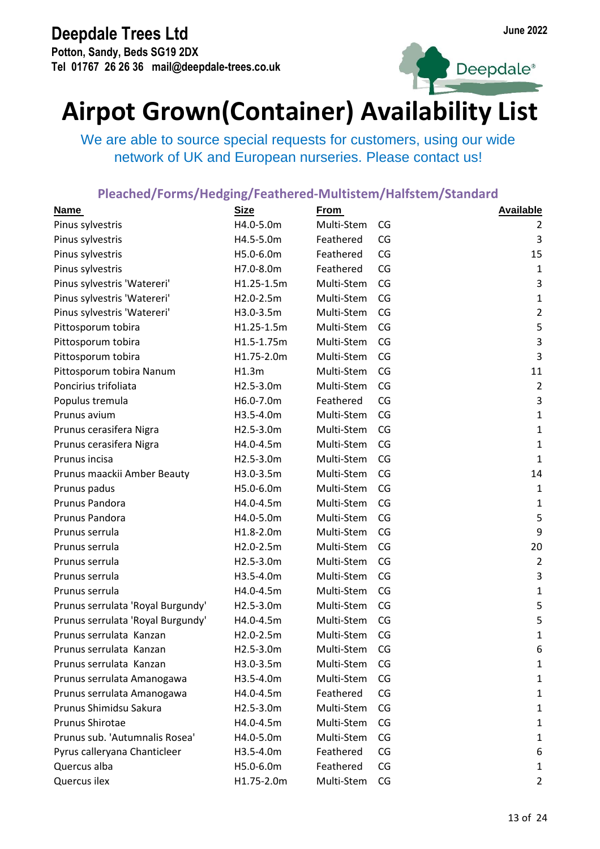**Potton, Sandy, Beds SG19 2DX Tel 01767 26 26 36 mail@deepdale-trees.co.uk**





## **Airpot Grown(Container) Availability List**

We are able to source special requests for customers, using our wide network of UK and European nurseries. Please contact us!

| Name                              | <b>Size</b> | <b>From</b> |    | <b>Available</b>        |
|-----------------------------------|-------------|-------------|----|-------------------------|
| Pinus sylvestris                  | H4.0-5.0m   | Multi-Stem  | CG | 2                       |
| Pinus sylvestris                  | H4.5-5.0m   | Feathered   | CG | 3                       |
| Pinus sylvestris                  | H5.0-6.0m   | Feathered   | CG | 15                      |
| Pinus sylvestris                  | H7.0-8.0m   | Feathered   | CG | $\mathbf{1}$            |
| Pinus sylvestris 'Watereri'       | H1.25-1.5m  | Multi-Stem  | CG | 3                       |
| Pinus sylvestris 'Watereri'       | H2.0-2.5m   | Multi-Stem  | CG | $\mathbf 1$             |
| Pinus sylvestris 'Watereri'       | H3.0-3.5m   | Multi-Stem  | CG | $\overline{2}$          |
| Pittosporum tobira                | H1.25-1.5m  | Multi-Stem  | CG | 5                       |
| Pittosporum tobira                | H1.5-1.75m  | Multi-Stem  | CG | 3                       |
| Pittosporum tobira                | H1.75-2.0m  | Multi-Stem  | CG | $\overline{\mathbf{3}}$ |
| Pittosporum tobira Nanum          | H1.3m       | Multi-Stem  | CG | 11                      |
| Poncirius trifoliata              | H2.5-3.0m   | Multi-Stem  | CG | $\overline{2}$          |
| Populus tremula                   | H6.0-7.0m   | Feathered   | CG | 3                       |
| Prunus avium                      | H3.5-4.0m   | Multi-Stem  | CG | $\mathbf 1$             |
| Prunus cerasifera Nigra           | H2.5-3.0m   | Multi-Stem  | CG | $\mathbf 1$             |
| Prunus cerasifera Nigra           | H4.0-4.5m   | Multi-Stem  | CG | $\mathbf 1$             |
| Prunus incisa                     | H2.5-3.0m   | Multi-Stem  | CG | $\mathbf{1}$            |
| Prunus maackii Amber Beauty       | H3.0-3.5m   | Multi-Stem  | CG | 14                      |
| Prunus padus                      | H5.0-6.0m   | Multi-Stem  | CG | $\mathbf 1$             |
| Prunus Pandora                    | H4.0-4.5m   | Multi-Stem  | CG | $\mathbf 1$             |
| Prunus Pandora                    | H4.0-5.0m   | Multi-Stem  | CG | 5                       |
| Prunus serrula                    | H1.8-2.0m   | Multi-Stem  | CG | 9                       |
| Prunus serrula                    | H2.0-2.5m   | Multi-Stem  | CG | 20                      |
| Prunus serrula                    | H2.5-3.0m   | Multi-Stem  | CG | $\overline{2}$          |
| Prunus serrula                    | H3.5-4.0m   | Multi-Stem  | CG | 3                       |
| Prunus serrula                    | H4.0-4.5m   | Multi-Stem  | CG | $\mathbf{1}$            |
| Prunus serrulata 'Royal Burgundy' | H2.5-3.0m   | Multi-Stem  | CG | 5                       |
| Prunus serrulata 'Royal Burgundy' | H4.0-4.5m   | Multi-Stem  | CG | 5                       |
| Prunus serrulata Kanzan           | H2.0-2.5m   | Multi-Stem  | CG | $\mathbf 1$             |
| Prunus serrulata Kanzan           | H2.5-3.0m   | Multi-Stem  | CG | 6                       |
| Prunus serrulata Kanzan           | H3.0-3.5m   | Multi-Stem  | CG | $\mathbf{1}$            |
| Prunus serrulata Amanogawa        | H3.5-4.0m   | Multi-Stem  | CG | $\mathbf{1}$            |
| Prunus serrulata Amanogawa        | H4.0-4.5m   | Feathered   | CG | $\mathbf{1}$            |
| Prunus Shimidsu Sakura            | H2.5-3.0m   | Multi-Stem  | CG | $\mathbf{1}$            |
| Prunus Shirotae                   | H4.0-4.5m   | Multi-Stem  | CG | $\mathbf{1}$            |
| Prunus sub. 'Autumnalis Rosea'    | H4.0-5.0m   | Multi-Stem  | CG | $\mathbf{1}$            |
| Pyrus calleryana Chanticleer      | H3.5-4.0m   | Feathered   | CG | 6                       |
| Quercus alba                      | H5.0-6.0m   | Feathered   | CG | $\mathbf{1}$            |
| Quercus ilex                      | H1.75-2.0m  | Multi-Stem  | CG | 2                       |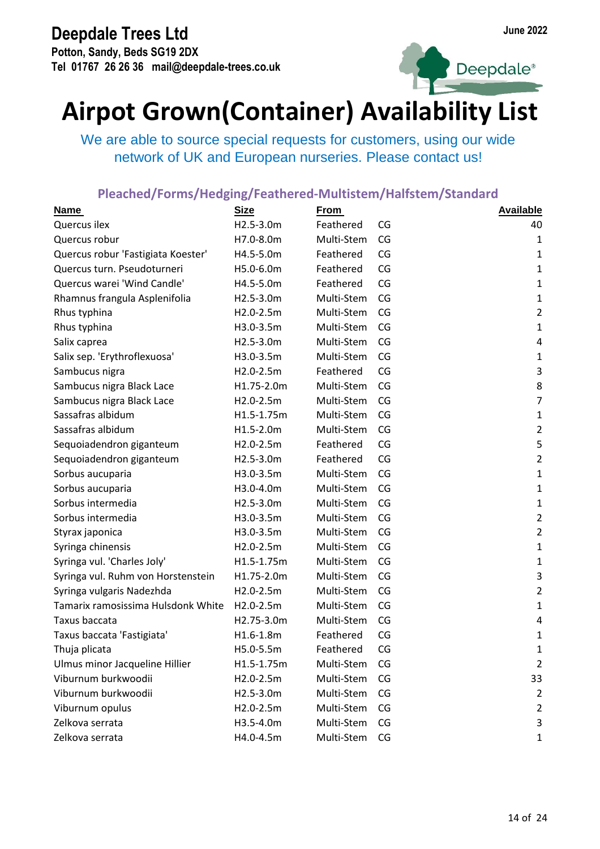**Potton, Sandy, Beds SG19 2DX Tel 01767 26 26 36 mail@deepdale-trees.co.uk**





## **Airpot Grown(Container) Availability List**

We are able to source special requests for customers, using our wide network of UK and European nurseries. Please contact us!

| <b>Name</b>                        | <b>Size</b>   | <b>From</b> |    | <b>Available</b> |
|------------------------------------|---------------|-------------|----|------------------|
| Quercus ilex                       | H2.5-3.0m     | Feathered   | CG | 40               |
| Quercus robur                      | H7.0-8.0m     | Multi-Stem  | CG | $\mathbf 1$      |
| Quercus robur 'Fastigiata Koester' | H4.5-5.0m     | Feathered   | CG | $\mathbf{1}$     |
| Quercus turn. Pseudoturneri        | H5.0-6.0m     | Feathered   | CG | $\mathbf 1$      |
| Quercus warei 'Wind Candle'        | H4.5-5.0m     | Feathered   | CG | $\mathbf{1}$     |
| Rhamnus frangula Asplenifolia      | H2.5-3.0m     | Multi-Stem  | CG | $\mathbf 1$      |
| Rhus typhina                       | H2.0-2.5m     | Multi-Stem  | CG | $\overline{2}$   |
| Rhus typhina                       | H3.0-3.5m     | Multi-Stem  | CG | $\mathbf 1$      |
| Salix caprea                       | H2.5-3.0m     | Multi-Stem  | CG | 4                |
| Salix sep. 'Erythroflexuosa'       | H3.0-3.5m     | Multi-Stem  | CG | $\mathbf 1$      |
| Sambucus nigra                     | H2.0-2.5m     | Feathered   | CG | $\mathsf 3$      |
| Sambucus nigra Black Lace          | H1.75-2.0m    | Multi-Stem  | CG | 8                |
| Sambucus nigra Black Lace          | H2.0-2.5m     | Multi-Stem  | CG | $\overline{7}$   |
| Sassafras albidum                  | H1.5-1.75m    | Multi-Stem  | CG | $\mathbf 1$      |
| Sassafras albidum                  | H1.5-2.0m     | Multi-Stem  | CG | $\overline{2}$   |
| Sequoiadendron giganteum           | H2.0-2.5m     | Feathered   | CG | 5                |
| Sequoiadendron giganteum           | H2.5-3.0m     | Feathered   | CG | $\overline{2}$   |
| Sorbus aucuparia                   | H3.0-3.5m     | Multi-Stem  | CG | $\mathbf 1$      |
| Sorbus aucuparia                   | H3.0-4.0m     | Multi-Stem  | CG | $\mathbf 1$      |
| Sorbus intermedia                  | $H2.5-3.0m$   | Multi-Stem  | CG | $\mathbf 1$      |
| Sorbus intermedia                  | H3.0-3.5m     | Multi-Stem  | CG | $\overline{2}$   |
| Styrax japonica                    | H3.0-3.5m     | Multi-Stem  | CG | $\overline{2}$   |
| Syringa chinensis                  | H2.0-2.5m     | Multi-Stem  | CG | $\mathbf 1$      |
| Syringa vul. 'Charles Joly'        | H1.5-1.75m    | Multi-Stem  | CG | $\mathbf 1$      |
| Syringa vul. Ruhm von Horstenstein | H1.75-2.0m    | Multi-Stem  | CG | $\mathsf 3$      |
| Syringa vulgaris Nadezhda          | H2.0-2.5m     | Multi-Stem  | CG | $\overline{2}$   |
| Tamarix ramosissima Hulsdonk White | $H2.0 - 2.5m$ | Multi-Stem  | CG | $\mathbf{1}$     |
| Taxus baccata                      | H2.75-3.0m    | Multi-Stem  | CG | 4                |
| Taxus baccata 'Fastigiata'         | H1.6-1.8m     | Feathered   | CG | 1                |
| Thuja plicata                      | H5.0-5.5m     | Feathered   | CG | 1                |
| Ulmus minor Jacqueline Hillier     | H1.5-1.75m    | Multi-Stem  | CG | 2                |
| Viburnum burkwoodii                | H2.0-2.5m     | Multi-Stem  | CG | 33               |
| Viburnum burkwoodii                | H2.5-3.0m     | Multi-Stem  | CG | $\overline{2}$   |
| Viburnum opulus                    | H2.0-2.5m     | Multi-Stem  | CG | $\overline{2}$   |
| Zelkova serrata                    | H3.5-4.0m     | Multi-Stem  | CG | 3                |
| Zelkova serrata                    | H4.0-4.5m     | Multi-Stem  | CG | 1                |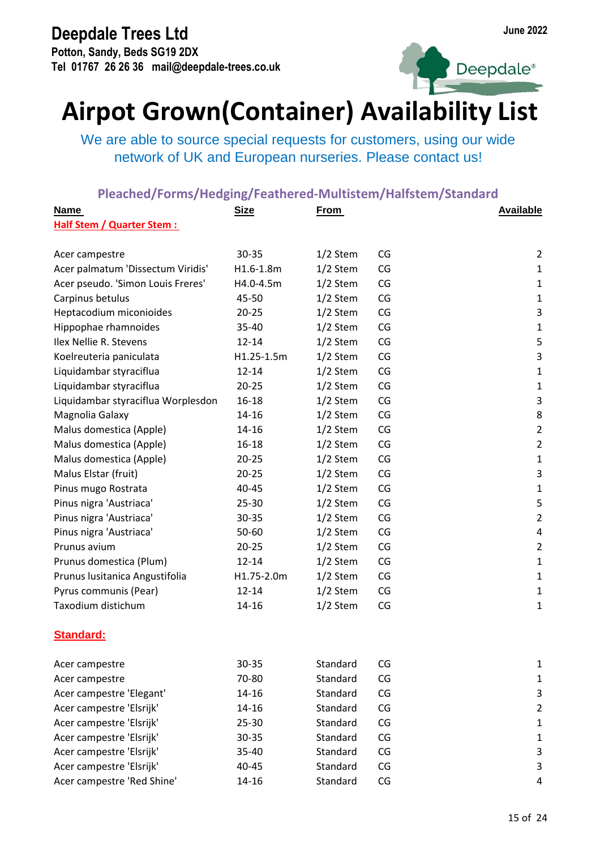**Potton, Sandy, Beds SG19 2DX Tel 01767 26 26 36 mail@deepdale-trees.co.uk**



Deepdale<sup>®</sup>

# **Airpot Grown(Container) Availability List**

We are able to source special requests for customers, using our wide network of UK and European nurseries. Please contact us!

| <b>Name</b>                        | <b>Size</b> | <b>From</b> |    | <b>Available</b>        |
|------------------------------------|-------------|-------------|----|-------------------------|
| <b>Half Stem / Quarter Stem:</b>   |             |             |    |                         |
| Acer campestre                     | 30-35       | $1/2$ Stem  | CG | 2                       |
| Acer palmatum 'Dissectum Viridis'  | H1.6-1.8m   | $1/2$ Stem  | CG | 1                       |
| Acer pseudo. 'Simon Louis Freres'  | H4.0-4.5m   | $1/2$ Stem  | CG | 1                       |
| Carpinus betulus                   | 45-50       | $1/2$ Stem  | CG | 1                       |
| Heptacodium miconioides            | $20 - 25$   | $1/2$ Stem  | CG | $\overline{\mathbf{3}}$ |
| Hippophae rhamnoides               | 35-40       | 1/2 Stem    | CG | 1                       |
| Ilex Nellie R. Stevens             | 12-14       | $1/2$ Stem  | CG | 5                       |
| Koelreuteria paniculata            | H1.25-1.5m  | $1/2$ Stem  | CG | $\mathsf 3$             |
| Liquidambar styraciflua            | $12 - 14$   | $1/2$ Stem  | CG | 1                       |
| Liquidambar styraciflua            | $20 - 25$   | $1/2$ Stem  | CG | $\mathbf 1$             |
| Liquidambar styraciflua Worplesdon | 16-18       | $1/2$ Stem  | CG | 3                       |
| Magnolia Galaxy                    | 14-16       | $1/2$ Stem  | CG | 8                       |
| Malus domestica (Apple)            | 14-16       | $1/2$ Stem  | CG | $\overline{2}$          |
| Malus domestica (Apple)            | 16-18       | $1/2$ Stem  | CG | $\overline{2}$          |
| Malus domestica (Apple)            | $20 - 25$   | $1/2$ Stem  | CG | $\mathbf 1$             |
| Malus Elstar (fruit)               | $20 - 25$   | $1/2$ Stem  | CG | 3                       |
| Pinus mugo Rostrata                | 40-45       | 1/2 Stem    | CG | $\mathbf 1$             |
| Pinus nigra 'Austriaca'            | $25 - 30$   | $1/2$ Stem  | CG | 5                       |
| Pinus nigra 'Austriaca'            | 30-35       | $1/2$ Stem  | CG | $\overline{2}$          |
| Pinus nigra 'Austriaca'            | 50-60       | $1/2$ Stem  | CG | 4                       |
| Prunus avium                       | $20 - 25$   | $1/2$ Stem  | CG | $\overline{2}$          |
| Prunus domestica (Plum)            | 12-14       | $1/2$ Stem  | CG | $\mathbf 1$             |
| Prunus Iusitanica Angustifolia     | H1.75-2.0m  | $1/2$ Stem  | CG | 1                       |
| Pyrus communis (Pear)              | $12 - 14$   | 1/2 Stem    | CG | $\mathbf{1}$            |
| Taxodium distichum                 | 14-16       | $1/2$ Stem  | CG | $\mathbf{1}$            |
| <b>Standard:</b>                   |             |             |    |                         |
| Acer campestre                     | 30-35       | Standard    | CG | 1                       |
| Acer campestre                     | 70-80       | Standard    | CG | 1                       |
| Acer campestre 'Elegant'           | 14-16       | Standard    | CG | 3                       |
| Acer campestre 'Elsrijk'           | 14-16       | Standard    | CG | $\overline{2}$          |
| Acer campestre 'Elsrijk'           | 25-30       | Standard    | CG | 1                       |
| Acer campestre 'Elsrijk'           | 30-35       | Standard    | CG | 1                       |
| Acer campestre 'Elsrijk'           | 35-40       | Standard    | CG | 3                       |
| Acer campestre 'Elsrijk'           | 40-45       | Standard    | CG | 3                       |
| Acer campestre 'Red Shine'         | 14-16       | Standard    | CG | 4                       |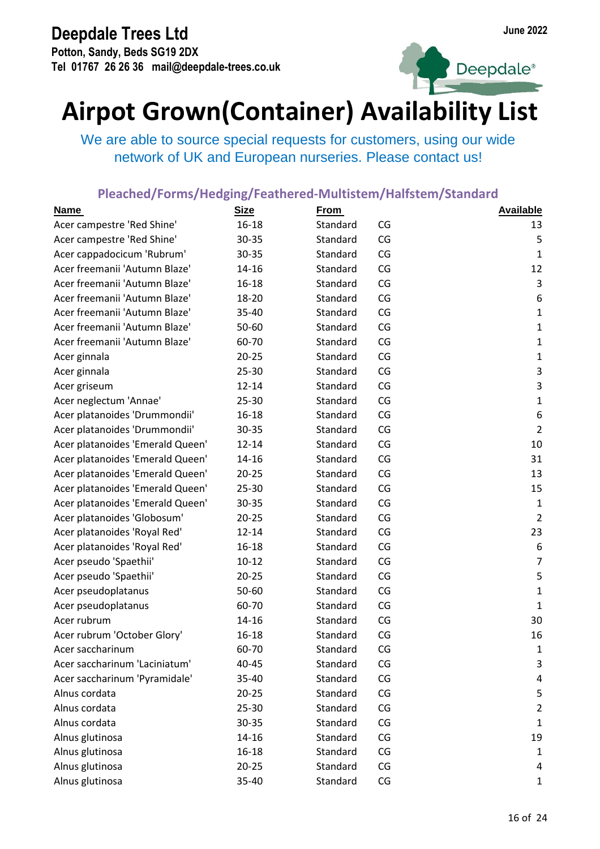**Potton, Sandy, Beds SG19 2DX Tel 01767 26 26 36 mail@deepdale-trees.co.uk**





## **Airpot Grown(Container) Availability List**

We are able to source special requests for customers, using our wide network of UK and European nurseries. Please contact us!

| <b>Name</b>                      | <b>Size</b> | <b>From</b> |    | <b>Available</b> |
|----------------------------------|-------------|-------------|----|------------------|
| Acer campestre 'Red Shine'       | $16 - 18$   | Standard    | CG | 13               |
| Acer campestre 'Red Shine'       | 30-35       | Standard    | CG | 5                |
| Acer cappadocicum 'Rubrum'       | 30-35       | Standard    | CG | $\mathbf{1}$     |
| Acer freemanii 'Autumn Blaze'    | 14-16       | Standard    | CG | 12               |
| Acer freemanii 'Autumn Blaze'    | $16 - 18$   | Standard    | CG | $\mathsf{3}$     |
| Acer freemanii 'Autumn Blaze'    | 18-20       | Standard    | CG | 6                |
| Acer freemanii 'Autumn Blaze'    | 35-40       | Standard    | CG | $\mathbf{1}$     |
| Acer freemanii 'Autumn Blaze'    | 50-60       | Standard    | CG | $\mathbf 1$      |
| Acer freemanii 'Autumn Blaze'    | 60-70       | Standard    | CG | $\mathbf{1}$     |
| Acer ginnala                     | $20 - 25$   | Standard    | CG | $\mathbf 1$      |
| Acer ginnala                     | 25-30       | Standard    | CG | $\mathsf{3}$     |
| Acer griseum                     | $12 - 14$   | Standard    | CG | 3                |
| Acer neglectum 'Annae'           | 25-30       | Standard    | CG | $\mathbf{1}$     |
| Acer platanoides 'Drummondii'    | $16 - 18$   | Standard    | CG | 6                |
| Acer platanoides 'Drummondii'    | 30-35       | Standard    | CG | $\overline{2}$   |
| Acer platanoides 'Emerald Queen' | $12 - 14$   | Standard    | CG | 10               |
| Acer platanoides 'Emerald Queen' | $14 - 16$   | Standard    | CG | 31               |
| Acer platanoides 'Emerald Queen' | $20 - 25$   | Standard    | CG | 13               |
| Acer platanoides 'Emerald Queen' | 25-30       | Standard    | CG | 15               |
| Acer platanoides 'Emerald Queen' | 30-35       | Standard    | CG | $\mathbf{1}$     |
| Acer platanoides 'Globosum'      | $20 - 25$   | Standard    | CG | $\overline{2}$   |
| Acer platanoides 'Royal Red'     | $12 - 14$   | Standard    | CG | 23               |
| Acer platanoides 'Royal Red'     | $16 - 18$   | Standard    | CG | 6                |
| Acer pseudo 'Spaethii'           | $10 - 12$   | Standard    | CG | $\overline{7}$   |
| Acer pseudo 'Spaethii'           | $20 - 25$   | Standard    | CG | 5                |
| Acer pseudoplatanus              | 50-60       | Standard    | CG | $\mathbf 1$      |
| Acer pseudoplatanus              | 60-70       | Standard    | CG | $\mathbf{1}$     |
| Acer rubrum                      | 14-16       | Standard    | CG | 30               |
| Acer rubrum 'October Glory'      | $16 - 18$   | Standard    | CG | 16               |
| Acer saccharinum                 | 60-70       | Standard    | CG | 1                |
| Acer saccharinum 'Laciniatum'    | 40-45       | Standard    | CG | 3                |
| Acer saccharinum 'Pyramidale'    | 35-40       | Standard    | CG | 4                |
| Alnus cordata                    | $20 - 25$   | Standard    | CG | 5                |
| Alnus cordata                    | 25-30       | Standard    | CG | $\overline{2}$   |
| Alnus cordata                    | 30-35       | Standard    | CG | 1                |
| Alnus glutinosa                  | 14-16       | Standard    | CG | 19               |
| Alnus glutinosa                  | $16 - 18$   | Standard    | CG | 1                |
| Alnus glutinosa                  | $20 - 25$   | Standard    | CG | 4                |
| Alnus glutinosa                  | 35-40       | Standard    | CG | $\mathbf{1}$     |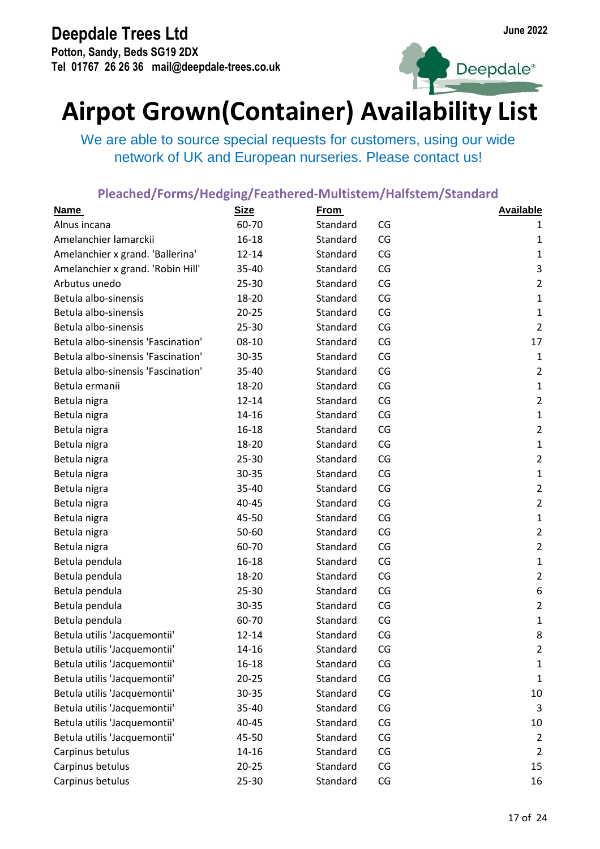**Potton, Sandy, Beds SG19 2DX Tel 01767 26 26 36 mail@deepdale-trees.co.uk**



Deepdale<sup>®</sup>

## **Airpot Grown(Container) Availability List**

We are able to source special requests for customers, using our wide network of UK and European nurseries. Please contact us!

| <b>Name</b>                        | <b>Size</b> | <b>From</b> |    | <b>Available</b> |
|------------------------------------|-------------|-------------|----|------------------|
| Alnus incana                       | 60-70       | Standard    | CG | 1                |
| Amelanchier lamarckii              | $16 - 18$   | Standard    | CG | 1                |
| Amelanchier x grand. 'Ballerina'   | $12 - 14$   | Standard    | CG | $\mathbf{1}$     |
| Amelanchier x grand. 'Robin Hill'  | 35-40       | Standard    | CG | 3                |
| Arbutus unedo                      | 25-30       | Standard    | CG | $\overline{2}$   |
| Betula albo-sinensis               | 18-20       | Standard    | CG | $\mathbf{1}$     |
| Betula albo-sinensis               | $20 - 25$   | Standard    | CG | $\mathbf{1}$     |
| Betula albo-sinensis               | 25-30       | Standard    | CG | $\overline{2}$   |
| Betula albo-sinensis 'Fascination' | 08-10       | Standard    | CG | 17               |
| Betula albo-sinensis 'Fascination' | 30-35       | Standard    | CG | $\mathbf{1}$     |
| Betula albo-sinensis 'Fascination' | 35-40       | Standard    | CG | $\overline{2}$   |
| Betula ermanii                     | 18-20       | Standard    | CG | $\mathbf 1$      |
| Betula nigra                       | $12 - 14$   | Standard    | CG | $\overline{2}$   |
| Betula nigra                       | 14-16       | Standard    | CG | $\mathbf 1$      |
| Betula nigra                       | 16-18       | Standard    | CG | $\overline{2}$   |
| Betula nigra                       | 18-20       | Standard    | CG | $\mathbf{1}$     |
| Betula nigra                       | 25-30       | Standard    | CG | $\overline{2}$   |
| Betula nigra                       | 30-35       | Standard    | CG | $\mathbf{1}$     |
| Betula nigra                       | 35-40       | Standard    | CG | $\overline{2}$   |
| Betula nigra                       | 40-45       | Standard    | CG | $\overline{2}$   |
| Betula nigra                       | 45-50       | Standard    | CG | $\mathbf{1}$     |
| Betula nigra                       | 50-60       | Standard    | CG | $\overline{2}$   |
| Betula nigra                       | 60-70       | Standard    | CG | $\overline{2}$   |
| Betula pendula                     | 16-18       | Standard    | CG | $\mathbf 1$      |
| Betula pendula                     | 18-20       | Standard    | CG | $\overline{2}$   |
| Betula pendula                     | 25-30       | Standard    | CG | 6                |
| Betula pendula                     | 30-35       | Standard    | CG | $\overline{2}$   |
| Betula pendula                     | 60-70       | Standard    | CG | $\mathbf{1}$     |
| Betula utilis 'Jacquemontii'       | $12 - 14$   | Standard    | CG | 8                |
| Betula utilis 'Jacquemontii'       | 14-16       | Standard    | CG | 2                |
| Betula utilis 'Jacquemontii'       | 16-18       | Standard    | CG | 1                |
| Betula utilis 'Jacquemontii'       | $20 - 25$   | Standard    | CG | 1                |
| Betula utilis 'Jacquemontii'       | 30-35       | Standard    | CG | 10               |
| Betula utilis 'Jacquemontii'       | 35-40       | Standard    | CG | 3                |
| Betula utilis 'Jacquemontii'       | 40-45       | Standard    | CG | 10               |
| Betula utilis 'Jacquemontii'       | 45-50       | Standard    | CG | $\overline{2}$   |
| Carpinus betulus                   | 14-16       | Standard    | CG | $\overline{2}$   |
| Carpinus betulus                   | $20 - 25$   | Standard    | CG | 15               |
| Carpinus betulus                   | 25-30       | Standard    | CG | 16               |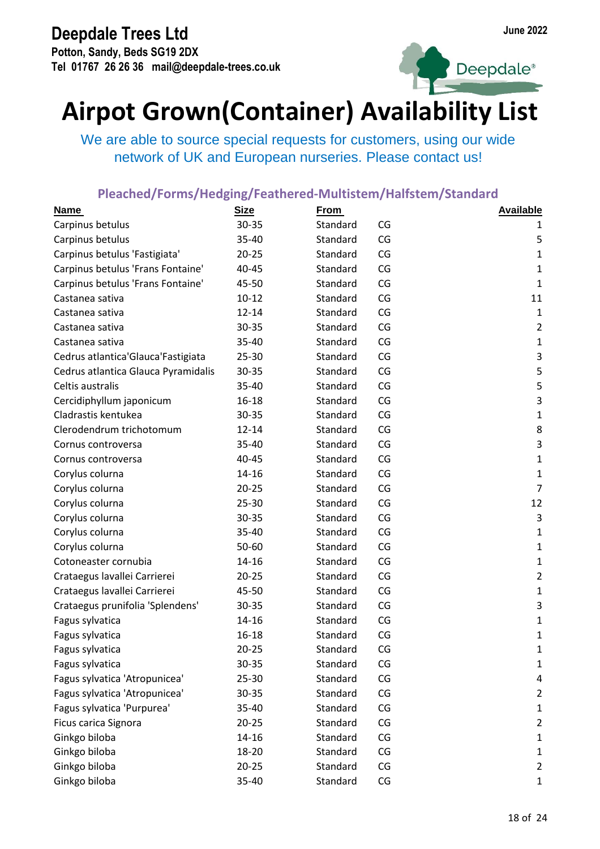**Potton, Sandy, Beds SG19 2DX Tel 01767 26 26 36 mail@deepdale-trees.co.uk**



Deepdale<sup>®</sup>

## **Airpot Grown(Container) Availability List**

We are able to source special requests for customers, using our wide network of UK and European nurseries. Please contact us!

| <b>Name</b>                          | <b>Size</b> | <b>From</b> |    | <b>Available</b> |
|--------------------------------------|-------------|-------------|----|------------------|
| Carpinus betulus                     | 30-35       | Standard    | CG | 1                |
| Carpinus betulus                     | 35-40       | Standard    | CG | 5                |
| Carpinus betulus 'Fastigiata'        | $20 - 25$   | Standard    | CG | $\mathbf{1}$     |
| Carpinus betulus 'Frans Fontaine'    | 40-45       | Standard    | CG | $\mathbf{1}$     |
| Carpinus betulus 'Frans Fontaine'    | 45-50       | Standard    | CG | $\mathbf{1}$     |
| Castanea sativa                      | $10 - 12$   | Standard    | CG | 11               |
| Castanea sativa                      | $12 - 14$   | Standard    | CG | $\mathbf{1}$     |
| Castanea sativa                      | 30-35       | Standard    | CG | $\overline{2}$   |
| Castanea sativa                      | 35-40       | Standard    | CG | $\mathbf{1}$     |
| Cedrus atlantica' Glauca' Fastigiata | 25-30       | Standard    | CG | $\mathsf 3$      |
| Cedrus atlantica Glauca Pyramidalis  | 30-35       | Standard    | CG | 5                |
| Celtis australis                     | 35-40       | Standard    | CG | 5                |
| Cercidiphyllum japonicum             | 16-18       | Standard    | CG | 3                |
| Cladrastis kentukea                  | 30-35       | Standard    | CG | $\mathbf{1}$     |
| Clerodendrum trichotomum             | $12 - 14$   | Standard    | CG | 8                |
| Cornus controversa                   | 35-40       | Standard    | CG | $\mathsf{3}$     |
| Cornus controversa                   | 40-45       | Standard    | CG | $\mathbf{1}$     |
| Corylus colurna                      | 14-16       | Standard    | CG | $\mathbf{1}$     |
| Corylus colurna                      | $20 - 25$   | Standard    | CG | $\overline{7}$   |
| Corylus colurna                      | 25-30       | Standard    | CG | 12               |
| Corylus colurna                      | 30-35       | Standard    | CG | 3                |
| Corylus colurna                      | 35-40       | Standard    | CG | $\mathbf{1}$     |
| Corylus colurna                      | 50-60       | Standard    | CG | $\mathbf{1}$     |
| Cotoneaster cornubia                 | 14-16       | Standard    | CG | $\mathbf{1}$     |
| Crataegus lavallei Carrierei         | $20 - 25$   | Standard    | CG | $\overline{2}$   |
| Crataegus lavallei Carrierei         | 45-50       | Standard    | CG | $\mathbf{1}$     |
| Crataegus prunifolia 'Splendens'     | 30-35       | Standard    | CG | 3                |
| Fagus sylvatica                      | 14-16       | Standard    | CG | $\mathbf{1}$     |
| Fagus sylvatica                      | $16 - 18$   | Standard    | CG | $\mathbf 1$      |
| Fagus sylvatica                      | $20 - 25$   | Standard    | CG | 1                |
| Fagus sylvatica                      | 30-35       | Standard    | CG | 1                |
| Fagus sylvatica 'Atropunicea'        | 25-30       | Standard    | CG | 4                |
| Fagus sylvatica 'Atropunicea'        | 30-35       | Standard    | CG | $\overline{2}$   |
| Fagus sylvatica 'Purpurea'           | 35-40       | Standard    | CG | $\mathbf{1}$     |
| Ficus carica Signora                 | $20 - 25$   | Standard    | CG | $\overline{2}$   |
| Ginkgo biloba                        | 14-16       | Standard    | CG | $\mathbf{1}$     |
| Ginkgo biloba                        | 18-20       | Standard    | CG | $\mathbf{1}$     |
| Ginkgo biloba                        | $20 - 25$   | Standard    | CG | $\overline{2}$   |
| Ginkgo biloba                        | 35-40       | Standard    | CG | $\mathbf{1}$     |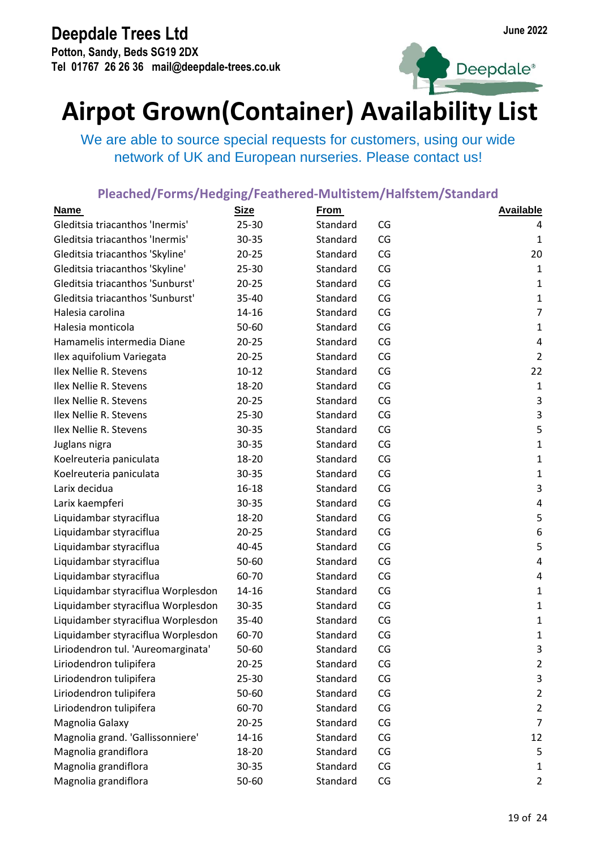**Potton, Sandy, Beds SG19 2DX Tel 01767 26 26 36 mail@deepdale-trees.co.uk**





## **Airpot Grown(Container) Availability List**

We are able to source special requests for customers, using our wide network of UK and European nurseries. Please contact us!

| <b>Name</b>                        | <b>Size</b> | <b>From</b> |    | <b>Available</b> |
|------------------------------------|-------------|-------------|----|------------------|
| Gleditsia triacanthos 'Inermis'    | 25-30       | Standard    | CG | 4                |
| Gleditsia triacanthos 'Inermis'    | 30-35       | Standard    | CG | $\mathbf{1}$     |
| Gleditsia triacanthos 'Skyline'    | $20 - 25$   | Standard    | CG | 20               |
| Gleditsia triacanthos 'Skyline'    | 25-30       | Standard    | CG | $\mathbf 1$      |
| Gleditsia triacanthos 'Sunburst'   | $20 - 25$   | Standard    | CG | 1                |
| Gleditsia triacanthos 'Sunburst'   | 35-40       | Standard    | CG | $\mathbf 1$      |
| Halesia carolina                   | 14-16       | Standard    | CG | $\overline{7}$   |
| Halesia monticola                  | 50-60       | Standard    | CG | $\mathbf 1$      |
| Hamamelis intermedia Diane         | $20 - 25$   | Standard    | CG | 4                |
| Ilex aquifolium Variegata          | $20 - 25$   | Standard    | CG | $\overline{2}$   |
| Ilex Nellie R. Stevens             | $10 - 12$   | Standard    | CG | 22               |
| Ilex Nellie R. Stevens             | 18-20       | Standard    | CG | $\mathbf 1$      |
| Ilex Nellie R. Stevens             | $20 - 25$   | Standard    | CG | 3                |
| Ilex Nellie R. Stevens             | $25 - 30$   | Standard    | CG | $\mathsf 3$      |
| Ilex Nellie R. Stevens             | 30-35       | Standard    | CG | 5                |
| Juglans nigra                      | 30-35       | Standard    | CG | $\mathbf 1$      |
| Koelreuteria paniculata            | 18-20       | Standard    | CG | 1                |
| Koelreuteria paniculata            | 30-35       | Standard    | CG | $\mathbf 1$      |
| Larix decidua                      | $16 - 18$   | Standard    | CG | 3                |
| Larix kaempferi                    | 30-35       | Standard    | CG | $\pmb{4}$        |
| Liquidambar styraciflua            | 18-20       | Standard    | CG | 5                |
| Liquidambar styraciflua            | $20 - 25$   | Standard    | CG | 6                |
| Liquidambar styraciflua            | 40-45       | Standard    | CG | 5                |
| Liquidambar styraciflua            | 50-60       | Standard    | CG | 4                |
| Liquidambar styraciflua            | 60-70       | Standard    | CG | 4                |
| Liquidambar styraciflua Worplesdon | 14-16       | Standard    | CG | 1                |
| Liquidamber styraciflua Worplesdon | 30-35       | Standard    | CG | 1                |
| Liquidamber styraciflua Worplesdon | 35-40       | Standard    | CG | $\mathbf 1$      |
| Liquidamber styraciflua Worplesdon | 60-70       | Standard    | CG | 1                |
| Liriodendron tul. 'Aureomarginata' | 50-60       | Standard    | CG | 3                |
| Liriodendron tulipifera            | $20 - 25$   | Standard    | CG | $\overline{2}$   |
| Liriodendron tulipifera            | 25-30       | Standard    | CG | 3                |
| Liriodendron tulipifera            | 50-60       | Standard    | CG | $\overline{2}$   |
| Liriodendron tulipifera            | 60-70       | Standard    | CG | $\overline{2}$   |
| Magnolia Galaxy                    | $20 - 25$   | Standard    | CG | $\overline{7}$   |
| Magnolia grand. 'Gallissonniere'   | 14-16       | Standard    | CG | 12               |
| Magnolia grandiflora               | 18-20       | Standard    | CG | 5                |
| Magnolia grandiflora               | 30-35       | Standard    | CG | $\mathbf{1}$     |
| Magnolia grandiflora               | 50-60       | Standard    | CG | $\overline{2}$   |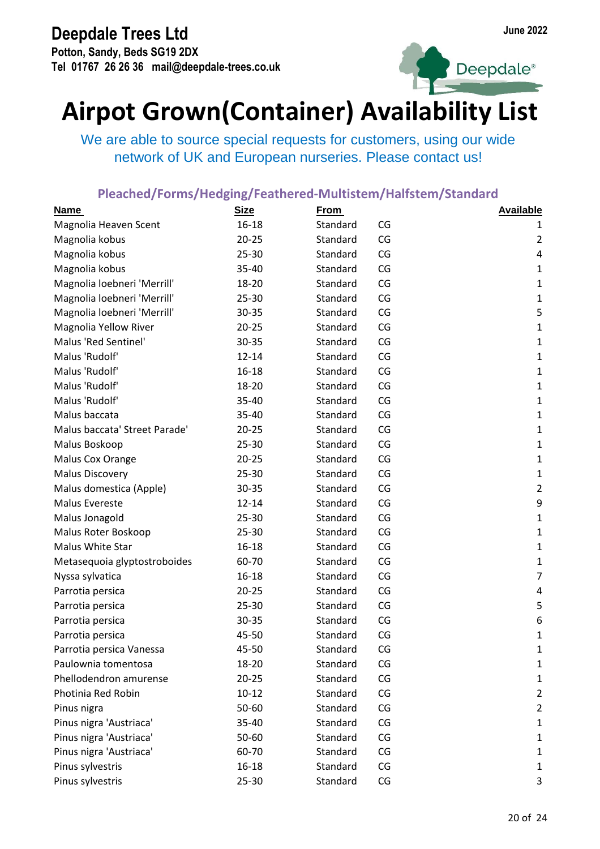**Potton, Sandy, Beds SG19 2DX Tel 01767 26 26 36 mail@deepdale-trees.co.uk**





## **Airpot Grown(Container) Availability List**

We are able to source special requests for customers, using our wide network of UK and European nurseries. Please contact us!

| <b>Name</b>                   | <b>Size</b> | <b>From</b> |    | <b>Available</b> |
|-------------------------------|-------------|-------------|----|------------------|
| Magnolia Heaven Scent         | $16 - 18$   | Standard    | CG | 1                |
| Magnolia kobus                | $20 - 25$   | Standard    | CG | $\overline{2}$   |
| Magnolia kobus                | 25-30       | Standard    | CG | 4                |
| Magnolia kobus                | 35-40       | Standard    | CG | $\mathbf{1}$     |
| Magnolia loebneri 'Merrill'   | 18-20       | Standard    | CG | $\mathbf{1}$     |
| Magnolia loebneri 'Merrill'   | 25-30       | Standard    | CG | $\mathbf{1}$     |
| Magnolia loebneri 'Merrill'   | 30-35       | Standard    | CG | 5                |
| Magnolia Yellow River         | $20 - 25$   | Standard    | CG | $\mathbf 1$      |
| Malus 'Red Sentinel'          | 30-35       | Standard    | CG | $\mathbf{1}$     |
| Malus 'Rudolf'                | $12 - 14$   | Standard    | CG | $\mathbf 1$      |
| Malus 'Rudolf'                | $16 - 18$   | Standard    | CG | $\mathbf{1}$     |
| Malus 'Rudolf'                | 18-20       | Standard    | CG | $\mathbf{1}$     |
| Malus 'Rudolf'                | 35-40       | Standard    | CG | $\mathbf{1}$     |
| Malus baccata                 | 35-40       | Standard    | CG | $\mathbf{1}$     |
| Malus baccata' Street Parade' | $20 - 25$   | Standard    | CG | $\mathbf{1}$     |
| Malus Boskoop                 | 25-30       | Standard    | CG | $\mathbf{1}$     |
| Malus Cox Orange              | $20 - 25$   | Standard    | CG | $\mathbf{1}$     |
| <b>Malus Discovery</b>        | 25-30       | Standard    | CG | $\mathbf{1}$     |
| Malus domestica (Apple)       | 30-35       | Standard    | CG | $\overline{2}$   |
| Malus Evereste                | $12 - 14$   | Standard    | CG | 9                |
| Malus Jonagold                | 25-30       | Standard    | CG | $\mathbf 1$      |
| Malus Roter Boskoop           | 25-30       | Standard    | CG | $\mathbf{1}$     |
| Malus White Star              | $16 - 18$   | Standard    | CG | $\mathbf{1}$     |
| Metasequoia glyptostroboides  | 60-70       | Standard    | CG | $\mathbf{1}$     |
| Nyssa sylvatica               | 16-18       | Standard    | CG | $\overline{7}$   |
| Parrotia persica              | $20 - 25$   | Standard    | CG | 4                |
| Parrotia persica              | 25-30       | Standard    | CG | 5                |
| Parrotia persica              | 30-35       | Standard    | CG | 6                |
| Parrotia persica              | 45-50       | Standard    | CG | $\mathbf 1$      |
| Parrotia persica Vanessa      | 45-50       | Standard    | CG | 1                |
| Paulownia tomentosa           | 18-20       | Standard    | CG | 1                |
| Phellodendron amurense        | $20 - 25$   | Standard    | CG | $\mathbf{1}$     |
| Photinia Red Robin            | $10 - 12$   | Standard    | CG | $\overline{2}$   |
| Pinus nigra                   | 50-60       | Standard    | CG | $\overline{2}$   |
| Pinus nigra 'Austriaca'       | 35-40       | Standard    | CG | $\mathbf{1}$     |
| Pinus nigra 'Austriaca'       | 50-60       | Standard    | CG | $\mathbf{1}$     |
| Pinus nigra 'Austriaca'       | 60-70       | Standard    | CG | $\mathbf{1}$     |
| Pinus sylvestris              | 16-18       | Standard    | CG | $\mathbf{1}$     |
| Pinus sylvestris              | 25-30       | Standard    | CG | 3                |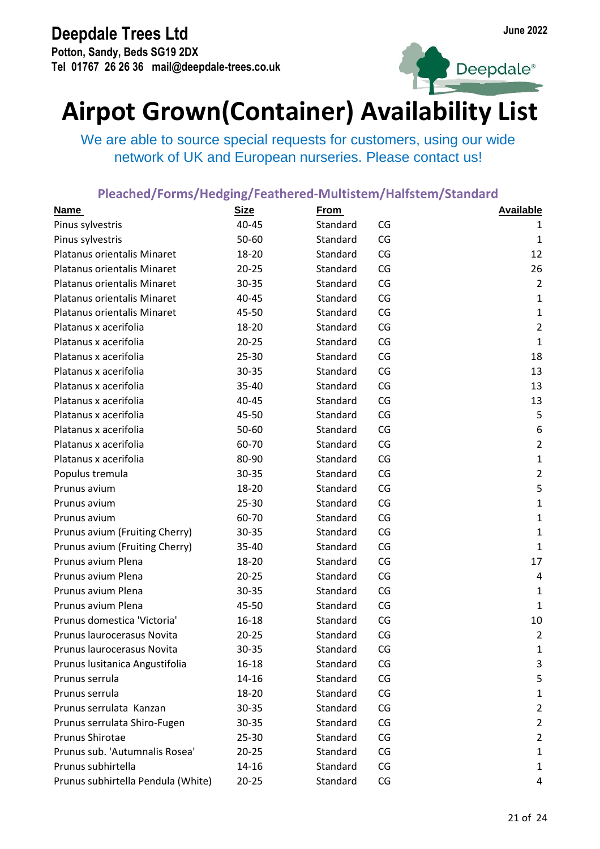**Potton, Sandy, Beds SG19 2DX Tel 01767 26 26 36 mail@deepdale-trees.co.uk**



Deepdale<sup>®</sup>

## **Airpot Grown(Container) Availability List**

We are able to source special requests for customers, using our wide network of UK and European nurseries. Please contact us!

| <b>Name</b>                        | <b>Size</b> | <b>From</b> |    | <b>Available</b> |
|------------------------------------|-------------|-------------|----|------------------|
| Pinus sylvestris                   | 40-45       | Standard    | CG | 1                |
| Pinus sylvestris                   | 50-60       | Standard    | CG | $\mathbf{1}$     |
| Platanus orientalis Minaret        | 18-20       | Standard    | CG | 12               |
| Platanus orientalis Minaret        | $20 - 25$   | Standard    | CG | 26               |
| Platanus orientalis Minaret        | 30-35       | Standard    | CG | $\overline{2}$   |
| Platanus orientalis Minaret        | 40-45       | Standard    | CG | $\mathbf{1}$     |
| Platanus orientalis Minaret        | 45-50       | Standard    | CG | $\mathbf{1}$     |
| Platanus x acerifolia              | 18-20       | Standard    | CG | $\overline{2}$   |
| Platanus x acerifolia              | $20 - 25$   | Standard    | CG | $\mathbf{1}$     |
| Platanus x acerifolia              | $25 - 30$   | Standard    | CG | 18               |
| Platanus x acerifolia              | 30-35       | Standard    | CG | 13               |
| Platanus x acerifolia              | 35-40       | Standard    | CG | 13               |
| Platanus x acerifolia              | 40-45       | Standard    | CG | 13               |
| Platanus x acerifolia              | 45-50       | Standard    | CG | 5                |
| Platanus x acerifolia              | 50-60       | Standard    | CG | 6                |
| Platanus x acerifolia              | 60-70       | Standard    | CG | $\overline{2}$   |
| Platanus x acerifolia              | 80-90       | Standard    | CG | $\mathbf 1$      |
| Populus tremula                    | 30-35       | Standard    | CG | $\overline{2}$   |
| Prunus avium                       | 18-20       | Standard    | CG | 5                |
| Prunus avium                       | 25-30       | Standard    | CG | $\mathbf{1}$     |
| Prunus avium                       | 60-70       | Standard    | CG | $\mathbf{1}$     |
| Prunus avium (Fruiting Cherry)     | 30-35       | Standard    | CG | $\mathbf{1}$     |
| Prunus avium (Fruiting Cherry)     | 35-40       | Standard    | CG | $\mathbf{1}$     |
| Prunus avium Plena                 | 18-20       | Standard    | CG | 17               |
| Prunus avium Plena                 | $20 - 25$   | Standard    | CG | $\overline{a}$   |
| Prunus avium Plena                 | 30-35       | Standard    | CG | $\mathbf{1}$     |
| Prunus avium Plena                 | 45-50       | Standard    | CG | $\mathbf{1}$     |
| Prunus domestica 'Victoria'        | 16-18       | Standard    | CG | 10               |
| Prunus laurocerasus Novita         | $20 - 25$   | Standard    | CG | $\overline{2}$   |
| Prunus laurocerasus Novita         | 30-35       | Standard    | CG | $\mathbf{1}$     |
| Prunus lusitanica Angustifolia     | 16-18       | Standard    | CG | 3                |
| Prunus serrula                     | $14 - 16$   | Standard    | CG | 5                |
| Prunus serrula                     | 18-20       | Standard    | CG | $\mathbf{1}$     |
| Prunus serrulata Kanzan            | 30-35       | Standard    | CG | $\overline{2}$   |
| Prunus serrulata Shiro-Fugen       | $30 - 35$   | Standard    | CG | $\overline{2}$   |
| Prunus Shirotae                    | $25 - 30$   | Standard    | CG | $\overline{2}$   |
| Prunus sub. 'Autumnalis Rosea'     | $20 - 25$   | Standard    | CG | $\mathbf{1}$     |
| Prunus subhirtella                 | 14-16       | Standard    | CG | $\mathbf{1}$     |
| Prunus subhirtella Pendula (White) | $20 - 25$   | Standard    | CG | 4                |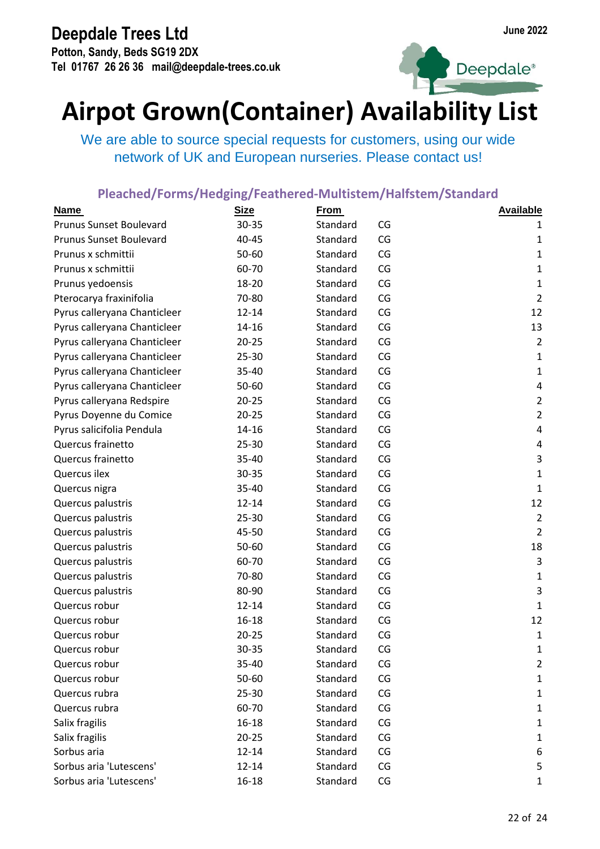**Potton, Sandy, Beds SG19 2DX Tel 01767 26 26 36 mail@deepdale-trees.co.uk**





## **Airpot Grown(Container) Availability List**

We are able to source special requests for customers, using our wide network of UK and European nurseries. Please contact us!

| <b>Name</b>                    | <b>Size</b> | <b>From</b> |    | <b>Available</b> |
|--------------------------------|-------------|-------------|----|------------------|
| <b>Prunus Sunset Boulevard</b> | 30-35       | Standard    | CG | 1                |
| <b>Prunus Sunset Boulevard</b> | 40-45       | Standard    | CG | $\mathbf{1}$     |
| Prunus x schmittii             | 50-60       | Standard    | CG | $\mathbf{1}$     |
| Prunus x schmittii             | 60-70       | Standard    | CG | $\mathbf{1}$     |
| Prunus yedoensis               | 18-20       | Standard    | CG | $\mathbf{1}$     |
| Pterocarya fraxinifolia        | 70-80       | Standard    | CG | $\overline{2}$   |
| Pyrus calleryana Chanticleer   | $12 - 14$   | Standard    | CG | 12               |
| Pyrus calleryana Chanticleer   | $14 - 16$   | Standard    | CG | 13               |
| Pyrus calleryana Chanticleer   | $20 - 25$   | Standard    | CG | $\overline{2}$   |
| Pyrus calleryana Chanticleer   | 25-30       | Standard    | CG | $\mathbf 1$      |
| Pyrus calleryana Chanticleer   | 35-40       | Standard    | CG | $\mathbf{1}$     |
| Pyrus calleryana Chanticleer   | 50-60       | Standard    | CG | 4                |
| Pyrus calleryana Redspire      | $20 - 25$   | Standard    | CG | $\overline{2}$   |
| Pyrus Doyenne du Comice        | $20 - 25$   | Standard    | CG | $\overline{2}$   |
| Pyrus salicifolia Pendula      | 14-16       | Standard    | CG | 4                |
| Quercus frainetto              | 25-30       | Standard    | CG | 4                |
| Quercus frainetto              | 35-40       | Standard    | CG | 3                |
| Quercus ilex                   | 30-35       | Standard    | CG | $\mathbf{1}$     |
| Quercus nigra                  | 35-40       | Standard    | CG | $\mathbf{1}$     |
| Quercus palustris              | $12 - 14$   | Standard    | CG | 12               |
| Quercus palustris              | 25-30       | Standard    | CG | $\overline{2}$   |
| Quercus palustris              | 45-50       | Standard    | CG | $\overline{2}$   |
| Quercus palustris              | 50-60       | Standard    | CG | 18               |
| Quercus palustris              | 60-70       | Standard    | CG | $\mathsf{3}$     |
| Quercus palustris              | 70-80       | Standard    | CG | $\mathbf{1}$     |
| Quercus palustris              | 80-90       | Standard    | CG | 3                |
| Quercus robur                  | $12 - 14$   | Standard    | CG | $\mathbf{1}$     |
| Quercus robur                  | $16 - 18$   | Standard    | CG | 12               |
| Quercus robur                  | $20 - 25$   | Standard    | CG | $\mathbf{1}$     |
| Quercus robur                  | 30-35       | Standard    | CG | 1                |
| Quercus robur                  | 35-40       | Standard    | CG | $\overline{2}$   |
| Quercus robur                  | 50-60       | Standard    | CG | $\mathbf{1}$     |
| Quercus rubra                  | 25-30       | Standard    | CG | $\mathbf 1$      |
| Quercus rubra                  | 60-70       | Standard    | CG | $\mathbf{1}$     |
| Salix fragilis                 | $16 - 18$   | Standard    | CG | $\mathbf{1}$     |
| Salix fragilis                 | $20 - 25$   | Standard    | CG | $\mathbf{1}$     |
| Sorbus aria                    | $12 - 14$   | Standard    | CG | 6                |
| Sorbus aria 'Lutescens'        | $12 - 14$   | Standard    | CG | 5                |
| Sorbus aria 'Lutescens'        | $16 - 18$   | Standard    | CG | $\mathbf{1}$     |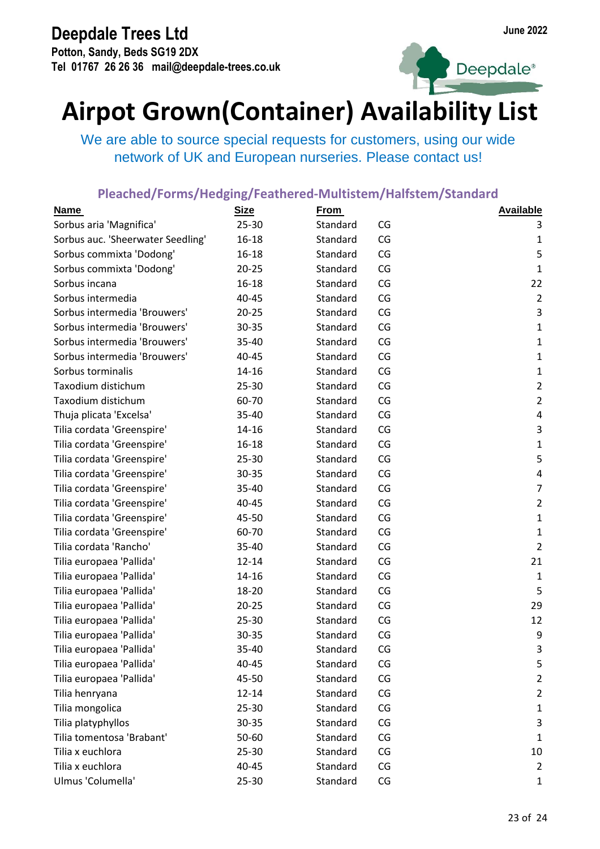**Potton, Sandy, Beds SG19 2DX Tel 01767 26 26 36 mail@deepdale-trees.co.uk**





## **Airpot Grown(Container) Availability List**

We are able to source special requests for customers, using our wide network of UK and European nurseries. Please contact us!

| <b>Name</b>                       | <b>Size</b> | <b>From</b> |    | <b>Available</b> |
|-----------------------------------|-------------|-------------|----|------------------|
| Sorbus aria 'Magnifica'           | 25-30       | Standard    | CG | 3                |
| Sorbus auc. 'Sheerwater Seedling' | 16-18       | Standard    | CG | 1                |
| Sorbus commixta 'Dodong'          | $16 - 18$   | Standard    | CG | 5                |
| Sorbus commixta 'Dodong'          | $20 - 25$   | Standard    | CG | $\mathbf{1}$     |
| Sorbus incana                     | 16-18       | Standard    | CG | 22               |
| Sorbus intermedia                 | 40-45       | Standard    | CG | $\overline{2}$   |
| Sorbus intermedia 'Brouwers'      | $20 - 25$   | Standard    | CG | 3                |
| Sorbus intermedia 'Brouwers'      | 30-35       | Standard    | CG | $\mathbf{1}$     |
| Sorbus intermedia 'Brouwers'      | 35-40       | Standard    | CG | $\mathbf{1}$     |
| Sorbus intermedia 'Brouwers'      | 40-45       | Standard    | CG | $\mathbf 1$      |
| Sorbus torminalis                 | 14-16       | Standard    | CG | $\mathbf{1}$     |
| Taxodium distichum                | 25-30       | Standard    | CG | $\overline{2}$   |
| Taxodium distichum                | 60-70       | Standard    | CG | $\overline{2}$   |
| Thuja plicata 'Excelsa'           | 35-40       | Standard    | CG | 4                |
| Tilia cordata 'Greenspire'        | 14-16       | Standard    | CG | $\mathsf{3}$     |
| Tilia cordata 'Greenspire'        | 16-18       | Standard    | CG | $\mathbf{1}$     |
| Tilia cordata 'Greenspire'        | 25-30       | Standard    | CG | 5                |
| Tilia cordata 'Greenspire'        | 30-35       | Standard    | CG | 4                |
| Tilia cordata 'Greenspire'        | 35-40       | Standard    | CG | $\overline{7}$   |
| Tilia cordata 'Greenspire'        | 40-45       | Standard    | CG | $\overline{2}$   |
| Tilia cordata 'Greenspire'        | 45-50       | Standard    | CG | $\mathbf{1}$     |
| Tilia cordata 'Greenspire'        | 60-70       | Standard    | CG | $\mathbf{1}$     |
| Tilia cordata 'Rancho'            | 35-40       | Standard    | CG | $\overline{2}$   |
| Tilia europaea 'Pallida'          | $12 - 14$   | Standard    | CG | 21               |
| Tilia europaea 'Pallida'          | 14-16       | Standard    | CG | $\mathbf{1}$     |
| Tilia europaea 'Pallida'          | 18-20       | Standard    | CG | 5                |
| Tilia europaea 'Pallida'          | $20 - 25$   | Standard    | CG | 29               |
| Tilia europaea 'Pallida'          | 25-30       | Standard    | CG | 12               |
| Tilia europaea 'Pallida'          | 30-35       | Standard    | CG | 9                |
| Tilia europaea 'Pallida'          | 35-40       | Standard    | CG | 3                |
| Tilia europaea 'Pallida'          | 40-45       | Standard    | CG | 5                |
| Tilia europaea 'Pallida'          | 45-50       | Standard    | CG | $\overline{2}$   |
| Tilia henryana                    | $12 - 14$   | Standard    | CG | $\overline{2}$   |
| Tilia mongolica                   | 25-30       | Standard    | CG | $\mathbf{1}$     |
| Tilia platyphyllos                | 30-35       | Standard    | CG | 3                |
| Tilia tomentosa 'Brabant'         | 50-60       | Standard    | CG | $\mathbf{1}$     |
| Tilia x euchlora                  | 25-30       | Standard    | CG | 10               |
| Tilia x euchlora                  | 40-45       | Standard    | CG | $\overline{2}$   |
| Ulmus 'Columella'                 | 25-30       | Standard    | CG | $\mathbf{1}$     |